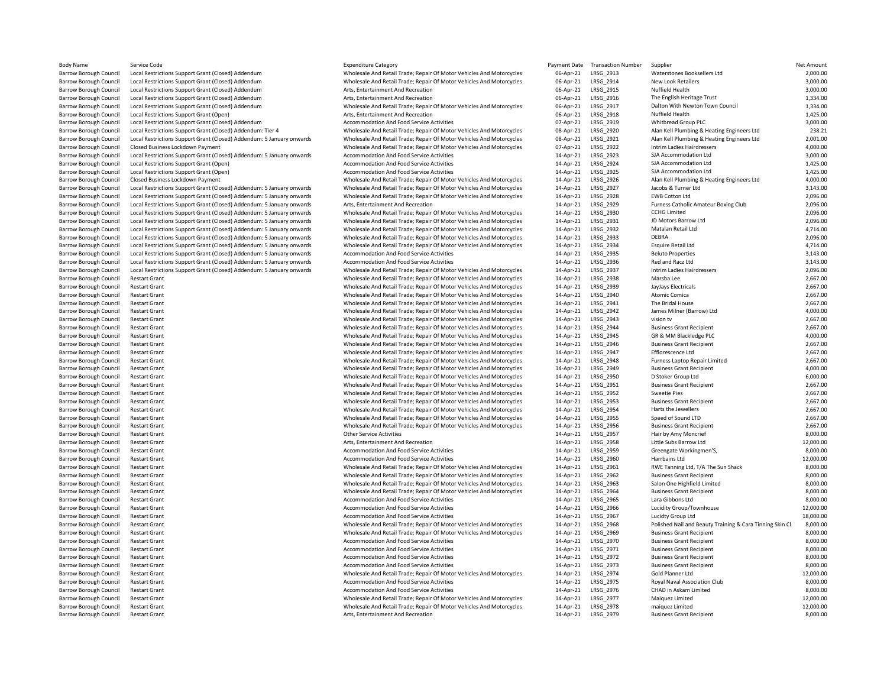| <b>Body Name</b>              | Service Code                                                          | <b>Expenditure Category</b>                                          | Payment Date | <b>Transaction Number</b> | Supplier                                                 | <b>Net Amount</b>    |
|-------------------------------|-----------------------------------------------------------------------|----------------------------------------------------------------------|--------------|---------------------------|----------------------------------------------------------|----------------------|
| Barrow Borough Council        | Local Restrictions Support Grant (Closed) Addendum                    | Wholesale And Retail Trade; Repair Of Motor Vehicles And Motorcycles | 06-Apr-21    | LRSG_2913                 | Waterstones Booksellers Ltd                              | 2,000.00             |
| <b>Barrow Borough Council</b> | Local Restrictions Support Grant (Closed) Addendum                    | Wholesale And Retail Trade; Repair Of Motor Vehicles And Motorcycles | 06-Apr-21    | LRSG 2914                 | New Look Retailers                                       | 3,000.00             |
| Barrow Borough Council        | Local Restrictions Support Grant (Closed) Addendum                    | Arts, Entertainment And Recreation                                   | 06-Apr-21    | <b>LRSG 2915</b>          | Nuffield Health                                          | 3,000.00             |
| <b>Barrow Borough Council</b> | Local Restrictions Support Grant (Closed) Addendum                    | Arts, Entertainment And Recreation                                   | 06-Apr-21    | LRSG 2916                 | The English Heritage Trust                               | 1,334.00             |
| <b>Barrow Borough Council</b> | Local Restrictions Support Grant (Closed) Addendum                    | Wholesale And Retail Trade; Repair Of Motor Vehicles And Motorcycles | 06-Apr-21    | LRSG 2917                 | Dalton With Newton Town Council                          | 1,334.00             |
|                               |                                                                       |                                                                      | 06-Apr-21    | LRSG 2918                 | Nuffield Health                                          | 1,425.00             |
| Barrow Borough Council        | Local Restrictions Support Grant (Open)                               | Arts, Entertainment And Recreation                                   |              |                           |                                                          |                      |
| Barrow Borough Council        | Local Restrictions Support Grant (Closed) Addendum                    | Accommodation And Food Service Activities                            | 07-Apr-21    | LRSG_2919                 | Whitbread Group PLC                                      | 3,000.00             |
| Barrow Borough Council        | Local Restrictions Support Grant (Closed) Addendum: Tier 4            | Wholesale And Retail Trade; Repair Of Motor Vehicles And Motorcycles | 08-Apr-21    | LRSG_2920                 | Alan Kell Plumbing & Heating Engineers Ltd               | 238.21               |
| Barrow Borough Council        | Local Restrictions Support Grant (Closed) Addendum: 5 January onwards | Wholesale And Retail Trade; Repair Of Motor Vehicles And Motorcycles | 08-Apr-21    | LRSG 2921                 | Alan Kell Plumbing & Heating Engineers Ltd               | 2,001.00             |
| Barrow Borough Council        | Closed Business Lockdown Payment                                      | Wholesale And Retail Trade; Repair Of Motor Vehicles And Motorcycles | 07-Apr-21    | LRSG_2922                 | Intrim Ladies Hairdressers                               | 4,000.00             |
| Barrow Borough Council        | Local Restrictions Support Grant (Closed) Addendum: 5 January onwards | Accommodation And Food Service Activities                            | 14-Apr-21    | LRSG 2923                 | SJA Accommodation Ltd                                    | 3,000.00             |
| <b>Barrow Borough Council</b> | Local Restrictions Support Grant (Open)                               | Accommodation And Food Service Activities                            | 14-Apr-21    | LRSG 2924                 | SJA Accommodation Ltd                                    | 1,425.00             |
| Barrow Borough Council        | Local Restrictions Support Grant (Open)                               | Accommodation And Food Service Activities                            | 14-Apr-21    | LRSG 2925                 | SJA Accommodation Ltd                                    | 1,425.00             |
| Barrow Borough Council        | Closed Business Lockdown Payment                                      | Wholesale And Retail Trade; Repair Of Motor Vehicles And Motorcycles | 14-Apr-21    | LRSG 2926                 | Alan Kell Plumbing & Heating Engineers Ltd               | 4,000.00             |
| Barrow Borough Council        | Local Restrictions Support Grant (Closed) Addendum: 5 January onwards | Wholesale And Retail Trade; Repair Of Motor Vehicles And Motorcycles | 14-Apr-21    | LRSG_2927                 | Jacobs & Turner Ltd                                      | 3,143.00             |
|                               |                                                                       |                                                                      |              | LRSG 2928                 | <b>EWB Cotton Ltd</b>                                    | 2,096.00             |
| Barrow Borough Council        | Local Restrictions Support Grant (Closed) Addendum: 5 January onwards | Wholesale And Retail Trade; Repair Of Motor Vehicles And Motorcycles | 14-Apr-21    |                           |                                                          |                      |
| Barrow Borough Council        | Local Restrictions Support Grant (Closed) Addendum: 5 January onwards | Arts, Entertainment And Recreation                                   | 14-Apr-21    | LRSG_2929                 | Furness Catholic Amateur Boxing Club                     | 2,096.00             |
| Barrow Borough Council        | Local Restrictions Support Grant (Closed) Addendum: 5 January onwards | Wholesale And Retail Trade; Repair Of Motor Vehicles And Motorcycles | 14-Apr-21    | LRSG_2930                 | <b>CCHG Limited</b>                                      | 2,096.00             |
| Barrow Borough Council        | Local Restrictions Support Grant (Closed) Addendum: 5 January onwards | Wholesale And Retail Trade; Repair Of Motor Vehicles And Motorcycles | 14-Apr-21    | LRSG_2931                 | JD Motors Barrow Ltd                                     | 2,096.00             |
| <b>Barrow Borough Council</b> | Local Restrictions Support Grant (Closed) Addendum: 5 January onwards | Wholesale And Retail Trade; Repair Of Motor Vehicles And Motorcycles | 14-Apr-21    | LRSG_2932                 | Matalan Retail Ltd                                       | 4,714.00             |
| Barrow Borough Council        | Local Restrictions Support Grant (Closed) Addendum: 5 January onwards | Wholesale And Retail Trade; Repair Of Motor Vehicles And Motorcycles | 14-Apr-21    | LRSG_2933                 | DEBRA                                                    | 2,096.00             |
| <b>Barrow Borough Council</b> | Local Restrictions Support Grant (Closed) Addendum: 5 January onwards | Wholesale And Retail Trade; Repair Of Motor Vehicles And Motorcycles | 14-Apr-21    | LRSG 2934                 | <b>Esquire Retail Ltd</b>                                | 4,714.00             |
| <b>Barrow Borough Council</b> | Local Restrictions Support Grant (Closed) Addendum: 5 January onwards | <b>Accommodation And Food Service Activities</b>                     | 14-Apr-21    | <b>LRSG 2935</b>          | <b>Beluto Properties</b>                                 | 3,143.00             |
| <b>Barrow Borough Council</b> | Local Restrictions Support Grant (Closed) Addendum: 5 January onwards | Accommodation And Food Service Activities                            | 14-Apr-21    | LRSG 2936                 | Red and Racz Ltd                                         | 3,143.00             |
| <b>Barrow Borough Council</b> | Local Restrictions Support Grant (Closed) Addendum: 5 January onwards | Wholesale And Retail Trade; Repair Of Motor Vehicles And Motorcycles | 14-Apr-21    | <b>LRSG 2937</b>          | Intrim Ladies Hairdressers                               | 2,096.00             |
| Barrow Borough Council        | <b>Restart Grant</b>                                                  | Wholesale And Retail Trade; Repair Of Motor Vehicles And Motorcycles | 14-Apr-21    | LRSG_2938                 | Marsha Lee                                               | 2,667.00             |
|                               |                                                                       |                                                                      |              |                           |                                                          |                      |
| Barrow Borough Council        | <b>Restart Grant</b>                                                  | Wholesale And Retail Trade; Repair Of Motor Vehicles And Motorcycles | 14-Apr-21    | LRSG 2939                 | JayJays Electricals                                      | 2,667.00             |
| Barrow Borough Council        | <b>Restart Grant</b>                                                  | Wholesale And Retail Trade; Repair Of Motor Vehicles And Motorcycles | 14-Apr-21    | LRSG_2940                 | Atomic Comica                                            | 2,667.00             |
| Barrow Borough Council        | <b>Restart Grant</b>                                                  | Wholesale And Retail Trade; Repair Of Motor Vehicles And Motorcycles | 14-Apr-21    | LRSG 2941                 | The Bridal House                                         | 2,667.00             |
| <b>Barrow Borough Council</b> | <b>Restart Grant</b>                                                  | Wholesale And Retail Trade; Repair Of Motor Vehicles And Motorcycles | 14-Apr-21    | LRSG_2942                 | James Milner (Barrow) Ltd                                | 4,000.00             |
| Barrow Borough Council        | <b>Restart Grant</b>                                                  | Wholesale And Retail Trade; Repair Of Motor Vehicles And Motorcycles | 14-Apr-21    | LRSG_2943                 | vision tv                                                | 2,667.00             |
| Barrow Borough Council        | <b>Restart Grant</b>                                                  | Wholesale And Retail Trade; Repair Of Motor Vehicles And Motorcycles | 14-Apr-21    | LRSG_2944                 | <b>Business Grant Recipient</b>                          | 2,667.00             |
| Barrow Borough Council        | <b>Restart Grant</b>                                                  | Wholesale And Retail Trade; Repair Of Motor Vehicles And Motorcycles | 14-Apr-21    | LRSG_2945                 | GR & MM Blackledge PLC                                   | 4,000.00             |
| Barrow Borough Council        | <b>Restart Grant</b>                                                  | Wholesale And Retail Trade; Repair Of Motor Vehicles And Motorcycles | 14-Apr-21    | LRSG_2946                 | <b>Business Grant Recipient</b>                          | 2,667.00             |
| <b>Barrow Borough Council</b> | <b>Restart Grant</b>                                                  | Wholesale And Retail Trade; Repair Of Motor Vehicles And Motorcycles | 14-Apr-21    | <b>LRSG 2947</b>          | Efflorescence Ltd                                        | 2,667.00             |
| Barrow Borough Council        | <b>Restart Grant</b>                                                  | Wholesale And Retail Trade; Repair Of Motor Vehicles And Motorcycles | 14-Apr-21    | LRSG_2948                 | Furness Laptop Repair Limited                            | 2,667.00             |
| <b>Barrow Borough Council</b> |                                                                       | Wholesale And Retail Trade; Repair Of Motor Vehicles And Motorcycles | 14-Apr-21    | LRSG_2949                 |                                                          | 4,000.00             |
|                               | <b>Restart Grant</b><br><b>Restart Grant</b>                          |                                                                      |              |                           | <b>Business Grant Recipient</b>                          |                      |
| <b>Barrow Borough Council</b> |                                                                       | Wholesale And Retail Trade; Repair Of Motor Vehicles And Motorcycles | 14-Apr-21    | LRSG_2950                 | D Stoker Group Ltd                                       | 6,000.00             |
| Barrow Borough Council        | <b>Restart Grant</b>                                                  | Wholesale And Retail Trade; Repair Of Motor Vehicles And Motorcycles | 14-Apr-21    | LRSG_2951                 | <b>Business Grant Recipient</b>                          | 2,667.00             |
| Barrow Borough Council        | <b>Restart Grant</b>                                                  | Wholesale And Retail Trade; Repair Of Motor Vehicles And Motorcycles | 14-Apr-21    | LRSG_2952                 | Sweetie Pies                                             | 2,667.00             |
| <b>Barrow Borough Council</b> | <b>Restart Grant</b>                                                  | Wholesale And Retail Trade; Repair Of Motor Vehicles And Motorcycles | 14-Apr-21    | LRSG_2953                 | <b>Business Grant Recipient</b>                          | 2,667.00             |
| <b>Barrow Borough Council</b> | <b>Restart Grant</b>                                                  | Wholesale And Retail Trade; Repair Of Motor Vehicles And Motorcycles | 14-Apr-21    | LRSG_2954                 | Harts the Jewellers                                      | 2,667.00             |
| <b>Barrow Borough Council</b> | <b>Restart Grant</b>                                                  | Wholesale And Retail Trade; Repair Of Motor Vehicles And Motorcycles | 14-Apr-21    | <b>LRSG 2955</b>          | Speed of Sound LTD                                       | 2,667.00             |
| Barrow Borough Council        | <b>Restart Grant</b>                                                  | Wholesale And Retail Trade; Repair Of Motor Vehicles And Motorcycles | 14-Apr-21    | LRSG_2956                 | <b>Business Grant Recipient</b>                          | 2,667.00             |
| <b>Barrow Borough Council</b> | <b>Restart Grant</b>                                                  | <b>Other Service Activities</b>                                      | 14-Apr-21    | <b>LRSG 2957</b>          | Hair by Amy Moncrief                                     | 8,000.00             |
| Barrow Borough Council        | <b>Restart Grant</b>                                                  | Arts, Entertainment And Recreation                                   | 14-Apr-21    | LRSG_2958                 | Little Subs Barrow Ltd                                   | 12,000.00            |
| Barrow Borough Council        | <b>Restart Grant</b>                                                  | Accommodation And Food Service Activities                            | 14-Apr-21    | LRSG_2959                 | Greengate Workingmen'S,                                  | 8,000.00             |
| Barrow Borough Council        | <b>Restart Grant</b>                                                  | Accommodation And Food Service Activities                            | 14-Apr-21    | LRSG_2960                 | Harrbains Ltd                                            | 12,000.00            |
|                               | <b>Restart Grant</b>                                                  |                                                                      | 14-Apr-21    | LRSG_2961                 | RWE Tanning Ltd, T/A The Sun Shack                       | 8,000.00             |
| Barrow Borough Council        |                                                                       | Wholesale And Retail Trade; Repair Of Motor Vehicles And Motorcycles |              |                           |                                                          |                      |
| <b>Barrow Borough Council</b> | <b>Restart Grant</b>                                                  | Wholesale And Retail Trade; Repair Of Motor Vehicles And Motorcycles | 14-Apr-21    | LRSG 2962                 | <b>Business Grant Recipient</b>                          | 8,000.00             |
| Barrow Borough Council        | <b>Restart Grant</b>                                                  | Wholesale And Retail Trade; Repair Of Motor Vehicles And Motorcycles | 14-Apr-21    | LRSG_2963                 | Salon One Highfield Limited                              | 8,000.00             |
| Barrow Borough Council        | <b>Restart Grant</b>                                                  | Wholesale And Retail Trade; Repair Of Motor Vehicles And Motorcycles | 14-Apr-21    | LRSG_2964                 | <b>Business Grant Recipient</b>                          | 8,000.00             |
| <b>Barrow Borough Council</b> | <b>Restart Grant</b>                                                  | Accommodation And Food Service Activities                            | 14-Apr-21    | LRSG_2965                 | Lara Gibbons Ltd                                         | 8,000.00             |
| Barrow Borough Council        | <b>Restart Grant</b>                                                  | Accommodation And Food Service Activities                            | 14-Apr-21    | LRSG_2966                 | Lucidity Group/Townhouse                                 | 12,000.00            |
| Barrow Borough Council        | <b>Restart Grant</b>                                                  | Accommodation And Food Service Activities                            | 14-Apr-21    | LRSG_2967                 | Lucidty Group Ltd                                        | 18,000.00            |
| <b>Barrow Borough Council</b> | <b>Restart Grant</b>                                                  | Wholesale And Retail Trade; Repair Of Motor Vehicles And Motorcycles | 14-Apr-21    | LRSG_2968                 | Polished Nail and Beauty Training & Cara Tinning Skin Cl | 8,000.00             |
| Barrow Borough Council        | <b>Restart Grant</b>                                                  | Wholesale And Retail Trade; Repair Of Motor Vehicles And Motorcycles | 14-Apr-21    | LRSG_2969                 | <b>Business Grant Recipient</b>                          | 8,000.00             |
| <b>Barrow Borough Council</b> | <b>Restart Grant</b>                                                  | Accommodation And Food Service Activities                            | 14-Apr-21    | LRSG_2970                 | <b>Business Grant Recipient</b>                          | 8,000.00             |
| Barrow Borough Council        | <b>Restart Grant</b>                                                  | Accommodation And Food Service Activities                            | 14-Apr-21    | LRSG_2971                 | <b>Business Grant Recipient</b>                          | 8,000.00             |
|                               |                                                                       |                                                                      |              |                           |                                                          |                      |
| Barrow Borough Council        | <b>Restart Grant</b>                                                  | Accommodation And Food Service Activities                            | 14-Apr-21    | LRSG_2972                 | <b>Business Grant Recipient</b>                          | 8,000.00<br>8,000.00 |
| <b>Barrow Borough Council</b> | <b>Restart Grant</b>                                                  | Accommodation And Food Service Activities                            | 14-Apr-21    | LRSG_2973                 | <b>Business Grant Recipient</b>                          |                      |
| <b>Barrow Borough Council</b> | <b>Restart Grant</b>                                                  | Wholesale And Retail Trade; Repair Of Motor Vehicles And Motorcycles | 14-Apr-21    | LRSG_2974                 | Gold Planner Ltd                                         | 12,000.00            |
| <b>Barrow Borough Council</b> | <b>Restart Grant</b>                                                  | Accommodation And Food Service Activities                            | 14-Apr-21    | <b>LRSG 2975</b>          | Royal Naval Association Club                             | 8,000.00             |
| Barrow Borough Council        | <b>Restart Grant</b>                                                  | Accommodation And Food Service Activities                            | 14-Apr-21    | LRSG_2976                 | CHAD in Askam Limited                                    | 8,000.00             |
| Barrow Borough Council        | <b>Restart Grant</b>                                                  | Wholesale And Retail Trade; Repair Of Motor Vehicles And Motorcycles | 14-Apr-21    | LRSG_2977                 | Maiquez Limited                                          | 12,000.00            |
| Barrow Borough Council        | <b>Restart Grant</b>                                                  | Wholesale And Retail Trade; Repair Of Motor Vehicles And Motorcycles | 14-Apr-21    | LRSG_2978                 | maiquez Limited                                          | 12,000.00            |
| Barrow Borough Council        | <b>Restart Grant</b>                                                  | Arts. Entertainment And Recreation                                   | 14-Apr-21    | LRSG_2979                 | <b>Business Grant Recipient</b>                          | 8,000.00             |
|                               |                                                                       |                                                                      |              |                           |                                                          |                      |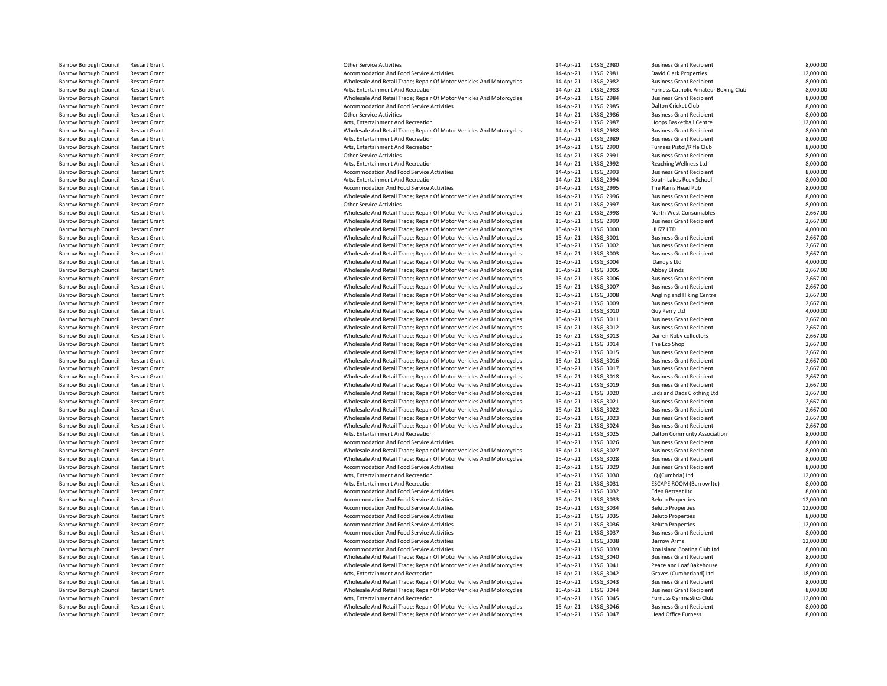| Other Service Activities                                                                                                                     | $14 -$           |
|----------------------------------------------------------------------------------------------------------------------------------------------|------------------|
| <b>Accommodation And Food Service Activities</b>                                                                                             | $14 -$           |
| Wholesale And Retail Trade; Repair Of Motor Vehicles And Motorcycles                                                                         | $14 -$           |
| Arts, Entertainment And Recreation                                                                                                           | $14-$            |
| Wholesale And Retail Trade; Repair Of Motor Vehicles And Motorcycles                                                                         | $14-$            |
| <b>Accommodation And Food Service Activities</b>                                                                                             | $14 -$           |
| Other Service Activities                                                                                                                     | $14 -$           |
| Arts, Entertainment And Recreation                                                                                                           | $14 -$           |
| Wholesale And Retail Trade; Repair Of Motor Vehicles And Motorcycles                                                                         | $14-$            |
| Arts, Entertainment And Recreation                                                                                                           | $14-$            |
| Arts, Entertainment And Recreation                                                                                                           | $14 -$           |
| Other Service Activities                                                                                                                     | $14 -$           |
| Arts, Entertainment And Recreation                                                                                                           | $14-$            |
| <b>Accommodation And Food Service Activities</b>                                                                                             | $14-$            |
| Arts, Entertainment And Recreation                                                                                                           | $14 -$           |
| <b>Accommodation And Food Service Activities</b>                                                                                             | $14 -$           |
| Wholesale And Retail Trade; Repair Of Motor Vehicles And Motorcycles                                                                         | $14-$            |
| Other Service Activities                                                                                                                     | $14-$            |
| Wholesale And Retail Trade; Repair Of Motor Vehicles And Motorcycles                                                                         | $15 -$           |
| Wholesale And Retail Trade; Repair Of Motor Vehicles And Motorcycles                                                                         | $15 -$           |
| Wholesale And Retail Trade; Repair Of Motor Vehicles And Motorcycles                                                                         | $15 -$           |
| Wholesale And Retail Trade; Repair Of Motor Vehicles And Motorcycles                                                                         | $15 -$           |
| Wholesale And Retail Trade; Repair Of Motor Vehicles And Motorcycles                                                                         | $15 -$           |
| Wholesale And Retail Trade; Repair Of Motor Vehicles And Motorcycles                                                                         | $15-$            |
| Wholesale And Retail Trade; Repair Of Motor Vehicles And Motorcycles                                                                         | $15 -$           |
| Wholesale And Retail Trade; Repair Of Motor Vehicles And Motorcycles                                                                         | $15 -$           |
| Wholesale And Retail Trade; Repair Of Motor Vehicles And Motorcycles                                                                         | $15 -$           |
| Wholesale And Retail Trade; Repair Of Motor Vehicles And Motorcycles                                                                         | $15 -$           |
| Wholesale And Retail Trade; Repair Of Motor Vehicles And Motorcycles                                                                         | $15 -$           |
| Wholesale And Retail Trade; Repair Of Motor Vehicles And Motorcycles                                                                         | $15 -$           |
| Wholesale And Retail Trade; Repair Of Motor Vehicles And Motorcycles                                                                         | $15 -$           |
| Wholesale And Retail Trade; Repair Of Motor Vehicles And Motorcycles                                                                         | $15 -$           |
| Wholesale And Retail Trade; Repair Of Motor Vehicles And Motorcycles                                                                         | $15-$            |
| Wholesale And Retail Trade; Repair Of Motor Vehicles And Motorcycles                                                                         | $15 -$           |
| Wholesale And Retail Trade; Repair Of Motor Vehicles And Motorcycles                                                                         | $15 -$           |
| Wholesale And Retail Trade; Repair Of Motor Vehicles And Motorcycles                                                                         | $15 -$           |
| Wholesale And Retail Trade; Repair Of Motor Vehicles And Motorcycles                                                                         | $15 -$           |
| Wholesale And Retail Trade; Repair Of Motor Vehicles And Motorcycles                                                                         | $15 -$           |
| Wholesale And Retail Trade; Repair Of Motor Vehicles And Motorcycles                                                                         | $15 -$           |
| Wholesale And Retail Trade; Repair Of Motor Vehicles And Motorcycles                                                                         | $15 -$           |
| Wholesale And Retail Trade; Repair Of Motor Vehicles And Motorcycles                                                                         | $15 -$           |
| Wholesale And Retail Trade; Repair Of Motor Vehicles And Motorcycles                                                                         | $15 -$           |
| Wholesale And Retail Trade; Repair Of Motor Vehicles And Motorcycles                                                                         | $15 -$           |
| Wholesale And Retail Trade; Repair Of Motor Vehicles And Motorcycles                                                                         | $15 -$           |
| Wholesale And Retail Trade; Repair Of Motor Vehicles And Motorcycles                                                                         | $15 -$           |
| Arts, Entertainment And Recreation                                                                                                           | $15 -$           |
| <b>Accommodation And Food Service Activities</b>                                                                                             | $15-$            |
| Wholesale And Retail Trade; Repair Of Motor Vehicles And Motorcycles                                                                         | $15 -$           |
| Wholesale And Retail Trade; Repair Of Motor Vehicles And Motorcycles                                                                         | $15 -$           |
| Accommodation And Food Service Activities                                                                                                    | $15 -$           |
| Arts, Entertainment And Recreation                                                                                                           | $15 -$           |
| Arts, Entertainment And Recreation                                                                                                           | $15 -$           |
| <b>Accommodation And Food Service Activities</b>                                                                                             | $15 -$           |
| <b>Accommodation And Food Service Activities</b>                                                                                             | $15 -$           |
| <b>Accommodation And Food Service Activities</b>                                                                                             | $15 -$           |
| <b>Accommodation And Food Service Activities</b>                                                                                             | $15 -$           |
| <b>Accommodation And Food Service Activities</b>                                                                                             | $15 -$           |
| <b>Accommodation And Food Service Activities</b>                                                                                             | $15 -$           |
| <b>Accommodation And Food Service Activities</b>                                                                                             | $15 -$           |
| <b>Accommodation And Food Service Activities</b>                                                                                             | $15 -$           |
| Wholesale And Retail Trade; Repair Of Motor Vehicles And Motorcycles                                                                         | $15 -$<br>$15 -$ |
| Wholesale And Retail Trade; Repair Of Motor Vehicles And Motorcycles                                                                         |                  |
| Arts, Entertainment And Recreation                                                                                                           | $15 -$           |
| Wholesale And Retail Trade; Repair Of Motor Vehicles And Motorcycles<br>Wholesale And Retail Trade; Repair Of Motor Vehicles And Motorcycles | $15 -$           |
| Arts, Entertainment And Recreation                                                                                                           | $15 -$<br>$15 -$ |
|                                                                                                                                              | $15 -$           |
| Wholesale And Retail Trade; Repair Of Motor Vehicles And Motorcycles<br>Wholesale And Retail Trade: Repair Of Motor Vehicles And Motorcycles | $15 -$           |
|                                                                                                                                              |                  |

| Barrow Borough Council                                  | <b>Restart Grant</b>                         | <b>Other Service Activities</b>                                                                                                              | 14-Apr-21              | LRSG_2980              | <b>Business Grant Recipient</b>                                    | 8,000.00             |
|---------------------------------------------------------|----------------------------------------------|----------------------------------------------------------------------------------------------------------------------------------------------|------------------------|------------------------|--------------------------------------------------------------------|----------------------|
| <b>Barrow Borough Council</b>                           | <b>Restart Grant</b>                         | Accommodation And Food Service Activities                                                                                                    | 14-Apr-21              | LRSG 2981              | <b>David Clark Properties</b>                                      | 12,000.00            |
| Barrow Borough Council                                  | <b>Restart Grant</b>                         | Wholesale And Retail Trade; Repair Of Motor Vehicles And Motorcycles                                                                         | 14-Apr-21              | LRSG_2982              | <b>Business Grant Recipient</b>                                    | 8,000.00             |
| <b>Barrow Borough Council</b>                           | <b>Restart Grant</b>                         | Arts, Entertainment And Recreation                                                                                                           | 14-Apr-21              | LRSG_2983              | Furness Catholic Amateur Boxing Club                               | 8,000.00             |
| <b>Barrow Borough Council</b>                           | <b>Restart Grant</b>                         | Wholesale And Retail Trade; Repair Of Motor Vehicles And Motorcycles                                                                         | 14-Apr-21              | LRSG_2984              | <b>Business Grant Recipient</b>                                    | 8,000.00             |
| Barrow Borough Council                                  | <b>Restart Grant</b>                         | Accommodation And Food Service Activities                                                                                                    | 14-Apr-21              | LRSG_2985              | Dalton Cricket Club                                                | 8,000.00             |
| Barrow Borough Council                                  | <b>Restart Grant</b>                         | <b>Other Service Activities</b>                                                                                                              | 14-Apr-21              | LRSG_2986              | <b>Business Grant Recipient</b>                                    | 8,000.00             |
| Barrow Borough Council                                  | <b>Restart Grant</b>                         | Arts, Entertainment And Recreation                                                                                                           | 14-Apr-21              | LRSG_2987              | Hoops Basketball Centre                                            | 12,000.00            |
| <b>Barrow Borough Council</b>                           | <b>Restart Grant</b>                         | Wholesale And Retail Trade; Repair Of Motor Vehicles And Motorcycles                                                                         | 14-Apr-21              | LRSG_2988              | <b>Business Grant Recipient</b>                                    | 8,000.00             |
| <b>Barrow Borough Council</b>                           | <b>Restart Grant</b>                         | Arts, Entertainment And Recreation                                                                                                           | 14-Apr-21              | LRSG_2989              | <b>Business Grant Recipient</b>                                    | 8,000.00             |
| Barrow Borough Council                                  | <b>Restart Grant</b>                         | Arts, Entertainment And Recreation                                                                                                           | 14-Apr-21              | LRSG_2990              | Furness Pistol/Rifle Club                                          | 8,000.00             |
| Barrow Borough Council                                  | <b>Restart Grant</b>                         | <b>Other Service Activities</b>                                                                                                              | 14-Apr-21              | LRSG_2991              | <b>Business Grant Recipient</b>                                    | 8,000.00             |
| Barrow Borough Council                                  | <b>Restart Grant</b>                         | Arts, Entertainment And Recreation                                                                                                           | 14-Apr-21              | LRSG_2992              | <b>Reaching Wellness Ltd</b>                                       | 8,000.00             |
| Barrow Borough Council                                  | <b>Restart Grant</b>                         | Accommodation And Food Service Activities                                                                                                    | 14-Apr-21              | LRSG 2993              | <b>Business Grant Recipient</b>                                    | 8,000.00             |
| <b>Barrow Borough Council</b>                           | <b>Restart Grant</b>                         | Arts. Entertainment And Recreation                                                                                                           | 14-Apr-21              | LRSG_2994              | South Lakes Rock School                                            | 8,000.00             |
| Barrow Borough Council                                  | <b>Restart Grant</b>                         | Accommodation And Food Service Activities                                                                                                    | 14-Apr-21              | LRSG_2995              | The Rams Head Pub                                                  | 8,000.00             |
| <b>Barrow Borough Council</b>                           | <b>Restart Grant</b>                         | Wholesale And Retail Trade; Repair Of Motor Vehicles And Motorcycles                                                                         | 14-Apr-21              | <b>LRSG 2996</b>       | <b>Business Grant Recipient</b>                                    | 8,000.00             |
| <b>Barrow Borough Council</b>                           | <b>Restart Grant</b>                         | <b>Other Service Activities</b>                                                                                                              | 14-Apr-21              | LRSG_2997              | <b>Business Grant Recipient</b>                                    | 8,000.00             |
| <b>Barrow Borough Council</b>                           | <b>Restart Grant</b>                         | Wholesale And Retail Trade; Repair Of Motor Vehicles And Motorcycles                                                                         | 15-Apr-21              | LRSG_2998              | North West Consumables                                             | 2,667.00             |
| <b>Barrow Borough Council</b>                           | <b>Restart Grant</b>                         | Wholesale And Retail Trade; Repair Of Motor Vehicles And Motorcycles                                                                         | 15-Apr-21              | LRSG 2999              | <b>Business Grant Recipient</b>                                    | 2,667.00             |
| Barrow Borough Council                                  | <b>Restart Grant</b>                         | Wholesale And Retail Trade; Repair Of Motor Vehicles And Motorcycles                                                                         | 15-Apr-21              | LRSG_3000              | HH77 LTD                                                           | 4,000.00             |
| <b>Barrow Borough Council</b>                           | <b>Restart Grant</b>                         | Wholesale And Retail Trade; Repair Of Motor Vehicles And Motorcycles                                                                         | 15-Apr-21              | LRSG_3001              | <b>Business Grant Recipient</b>                                    | 2,667.00             |
| <b>Barrow Borough Council</b>                           | <b>Restart Grant</b>                         | Wholesale And Retail Trade; Repair Of Motor Vehicles And Motorcycles                                                                         | 15-Apr-21              | LRSG 3002              | <b>Business Grant Recipient</b>                                    | 2,667.00             |
| Barrow Borough Council                                  | <b>Restart Grant</b>                         | Wholesale And Retail Trade; Repair Of Motor Vehicles And Motorcycles                                                                         | 15-Apr-21              | LRSG_3003              | <b>Business Grant Recipient</b>                                    | 2,667.00             |
| <b>Barrow Borough Council</b>                           | <b>Restart Grant</b>                         | Wholesale And Retail Trade; Repair Of Motor Vehicles And Motorcycles                                                                         | 15-Apr-21              | LRSG 3004              | Dandy's Ltd                                                        | 4,000.00             |
| <b>Barrow Borough Council</b>                           | <b>Restart Grant</b>                         | Wholesale And Retail Trade; Repair Of Motor Vehicles And Motorcycles                                                                         | 15-Apr-21              | LRSG_3005              | <b>Abbey Blinds</b>                                                | 2,667.00             |
| Barrow Borough Council                                  | <b>Restart Grant</b>                         | Wholesale And Retail Trade; Repair Of Motor Vehicles And Motorcycles                                                                         | 15-Apr-21              | LRSG_3006              | <b>Business Grant Recipient</b>                                    | 2,667.00             |
| Barrow Borough Council                                  | <b>Restart Grant</b>                         | Wholesale And Retail Trade; Repair Of Motor Vehicles And Motorcycles                                                                         | 15-Apr-21              | LRSG_3007              | <b>Business Grant Recipient</b>                                    | 2,667.00             |
| Barrow Borough Council                                  | <b>Restart Grant</b>                         | Wholesale And Retail Trade; Repair Of Motor Vehicles And Motorcycles                                                                         | 15-Apr-21              | LRSG_3008              | Angling and Hiking Centre                                          | 2,667.00             |
| <b>Barrow Borough Council</b>                           | <b>Restart Grant</b>                         | Wholesale And Retail Trade; Repair Of Motor Vehicles And Motorcycles                                                                         | 15-Apr-21              | LRSG 3009              | <b>Business Grant Recipient</b>                                    | 2,667.00             |
| Barrow Borough Council                                  | <b>Restart Grant</b>                         | Wholesale And Retail Trade; Repair Of Motor Vehicles And Motorcycles                                                                         | 15-Apr-21              | LRSG_3010              | Guy Perry Ltd                                                      | 4,000.00             |
| <b>Barrow Borough Council</b>                           | <b>Restart Grant</b>                         | Wholesale And Retail Trade; Repair Of Motor Vehicles And Motorcycles                                                                         | 15-Apr-21              | LRSG_3011              | <b>Business Grant Recipient</b>                                    | 2,667.00             |
| <b>Barrow Borough Council</b>                           | <b>Restart Grant</b>                         | Wholesale And Retail Trade; Repair Of Motor Vehicles And Motorcycles                                                                         | 15-Apr-21              | LRSG_3012              | <b>Business Grant Recipient</b>                                    | 2,667.00             |
| Barrow Borough Council                                  | <b>Restart Grant</b>                         | Wholesale And Retail Trade; Repair Of Motor Vehicles And Motorcycles                                                                         | 15-Apr-21              | LRSG_3013              | Darren Roby collectors                                             | 2,667.00             |
| Barrow Borough Council                                  | <b>Restart Grant</b>                         | Wholesale And Retail Trade; Repair Of Motor Vehicles And Motorcycles                                                                         | 15-Apr-21              | LRSG_3014              | The Eco Shop                                                       | 2,667.00             |
| <b>Barrow Borough Council</b>                           | <b>Restart Grant</b>                         | Wholesale And Retail Trade; Repair Of Motor Vehicles And Motorcycles                                                                         | 15-Apr-21              | LRSG_3015              | <b>Business Grant Recipient</b>                                    | 2,667.00             |
| Barrow Borough Council                                  | <b>Restart Grant</b>                         | Wholesale And Retail Trade; Repair Of Motor Vehicles And Motorcycles                                                                         | 15-Apr-21              | LRSG_3016              | <b>Business Grant Recipient</b>                                    | 2,667.00             |
| Barrow Borough Council                                  | <b>Restart Grant</b>                         | Wholesale And Retail Trade; Repair Of Motor Vehicles And Motorcycles                                                                         | 15-Apr-21              | LRSG_3017              | <b>Business Grant Recipient</b>                                    | 2,667.00             |
| Barrow Borough Council                                  | <b>Restart Grant</b><br><b>Restart Grant</b> | Wholesale And Retail Trade; Repair Of Motor Vehicles And Motorcycles                                                                         | 15-Apr-21              | LRSG_3018              | <b>Business Grant Recipient</b>                                    | 2,667.00             |
| Barrow Borough Council<br><b>Barrow Borough Council</b> | <b>Restart Grant</b>                         | Wholesale And Retail Trade; Repair Of Motor Vehicles And Motorcycles<br>Wholesale And Retail Trade; Repair Of Motor Vehicles And Motorcycles | 15-Apr-21<br>15-Apr-21 | LRSG_3019<br>LRSG_3020 | <b>Business Grant Recipient</b><br>Lads and Dads Clothing Ltd      | 2,667.00<br>2,667.00 |
|                                                         |                                              |                                                                                                                                              |                        |                        |                                                                    | 2,667.00             |
| Barrow Borough Council<br>Barrow Borough Council        | <b>Restart Grant</b><br><b>Restart Grant</b> | Wholesale And Retail Trade; Repair Of Motor Vehicles And Motorcycles<br>Wholesale And Retail Trade; Repair Of Motor Vehicles And Motorcycles | 15-Apr-21<br>15-Apr-21 | LRSG_3021<br>LRSG_3022 | <b>Business Grant Recipient</b><br><b>Business Grant Recipient</b> | 2,667.00             |
| Barrow Borough Council                                  | <b>Restart Grant</b>                         | Wholesale And Retail Trade; Repair Of Motor Vehicles And Motorcycles                                                                         | 15-Apr-21              | LRSG_3023              | <b>Business Grant Recipient</b>                                    | 2,667.00             |
| Barrow Borough Council                                  | <b>Restart Grant</b>                         | Wholesale And Retail Trade; Repair Of Motor Vehicles And Motorcycles                                                                         | 15-Apr-21              | LRSG_3024              | <b>Business Grant Recipient</b>                                    | 2,667.00             |
| <b>Barrow Borough Council</b>                           | <b>Restart Grant</b>                         | Arts, Entertainment And Recreation                                                                                                           | 15-Apr-21              | LRSG_3025              | Dalton Communty Association                                        | 8,000.00             |
| Barrow Borough Council                                  | <b>Restart Grant</b>                         | Accommodation And Food Service Activities                                                                                                    | 15-Apr-21              | LRSG_3026              | <b>Business Grant Recipient</b>                                    | 8,000.00             |
| Barrow Borough Council                                  | <b>Restart Grant</b>                         | Wholesale And Retail Trade; Repair Of Motor Vehicles And Motorcycles                                                                         | 15-Apr-21              | LRSG_3027              | <b>Business Grant Recipient</b>                                    | 8,000.00             |
| Barrow Borough Council                                  | <b>Restart Grant</b>                         | Wholesale And Retail Trade; Repair Of Motor Vehicles And Motorcycles                                                                         | 15-Apr-21              | LRSG_3028              | <b>Business Grant Recipient</b>                                    | 8,000.00             |
| Barrow Borough Council                                  | <b>Restart Grant</b>                         | Accommodation And Food Service Activities                                                                                                    | 15-Apr-21              | LRSG_3029              | <b>Business Grant Recipient</b>                                    | 8,000.00             |
| <b>Barrow Borough Council</b>                           | <b>Restart Grant</b>                         | Arts, Entertainment And Recreation                                                                                                           | 15-Apr-21              | LRSG_3030              | LQ (Cumbria) Ltd                                                   | 12,000.00            |
| Barrow Borough Council                                  | <b>Restart Grant</b>                         | Arts. Entertainment And Recreation                                                                                                           | 15-Apr-21              | LRSG_3031              | <b>ESCAPE ROOM (Barrow Itd)</b>                                    | 8,000.00             |
| Barrow Borough Council                                  | <b>Restart Grant</b>                         | Accommodation And Food Service Activities                                                                                                    | 15-Apr-21              | LRSG_3032              | Eden Retreat Ltd                                                   | 8,000.00             |
| <b>Barrow Borough Council</b>                           | <b>Restart Grant</b>                         | Accommodation And Food Service Activities                                                                                                    | 15-Apr-21              | LRSG 3033              | <b>Beluto Properties</b>                                           | 12,000.00            |
| Barrow Borough Council                                  | <b>Restart Grant</b>                         | Accommodation And Food Service Activities                                                                                                    | 15-Apr-21              | LRSG_3034              | <b>Beluto Properties</b>                                           | 12,000.00            |
| <b>Barrow Borough Council</b>                           | <b>Restart Grant</b>                         | Accommodation And Food Service Activities                                                                                                    | 15-Apr-21              | LRSG 3035              | <b>Beluto Properties</b>                                           | 8,000.00             |
| Barrow Borough Council                                  | <b>Restart Grant</b>                         | Accommodation And Food Service Activities                                                                                                    | 15-Apr-21              | LRSG_3036              | <b>Beluto Properties</b>                                           | 12,000.00            |
| <b>Barrow Borough Council</b>                           | <b>Restart Grant</b>                         | Accommodation And Food Service Activities                                                                                                    | 15-Apr-21              | LRSG_3037              | <b>Business Grant Recipient</b>                                    | 8,000.00             |
| <b>Barrow Borough Council</b>                           | <b>Restart Grant</b>                         | Accommodation And Food Service Activities                                                                                                    | 15-Apr-21              | LRSG_3038              | <b>Barrow Arms</b>                                                 | 12,000.00            |
| Barrow Borough Council                                  | <b>Restart Grant</b>                         | Accommodation And Food Service Activities                                                                                                    | 15-Apr-21              | LRSG_3039              | Roa Island Boating Club Ltd                                        | 8,000.00             |
| <b>Barrow Borough Council</b>                           | <b>Restart Grant</b>                         | Wholesale And Retail Trade; Repair Of Motor Vehicles And Motorcycles                                                                         | 15-Apr-21              | LRSG 3040              | <b>Business Grant Recipient</b>                                    | 8,000.00             |
| <b>Barrow Borough Council</b>                           | <b>Restart Grant</b>                         | Wholesale And Retail Trade; Repair Of Motor Vehicles And Motorcycles                                                                         | 15-Apr-21              | LRSG_3041              | Peace and Loaf Bakehouse                                           | 8,000.00             |
| <b>Barrow Borough Council</b>                           | <b>Restart Grant</b>                         | Arts, Entertainment And Recreation                                                                                                           | 15-Apr-21              | LRSG_3042              | Graves (Cumberland) Ltd                                            | 18,000.00            |
| <b>Barrow Borough Council</b>                           | <b>Restart Grant</b>                         | Wholesale And Retail Trade; Repair Of Motor Vehicles And Motorcycles                                                                         | 15-Apr-21              | LRSG 3043              | <b>Business Grant Recipient</b>                                    | 8,000.00             |
| Barrow Borough Council                                  | <b>Restart Grant</b>                         | Wholesale And Retail Trade; Repair Of Motor Vehicles And Motorcycles                                                                         | 15-Apr-21              | LRSG_3044              | <b>Business Grant Recipient</b>                                    | 8,000.00             |
| Barrow Borough Council                                  | <b>Restart Grant</b>                         | Arts, Entertainment And Recreation                                                                                                           | 15-Apr-21              | LRSG_3045              | <b>Furness Gymnastics Club</b>                                     | 12,000.00            |
| Barrow Borough Council                                  | <b>Restart Grant</b>                         | Wholesale And Retail Trade; Repair Of Motor Vehicles And Motorcycles                                                                         | 15-Apr-21              | LRSG 3046              | <b>Business Grant Recipient</b>                                    | 8,000.00             |
| Barrow Borough Council                                  | <b>Restart Grant</b>                         | Wholesale And Retail Trade; Repair Of Motor Vehicles And Motorcycles                                                                         | 15-Apr-21              | LRSG_3047              | <b>Head Office Furness</b>                                         | 8,000.00             |
|                                                         |                                              |                                                                                                                                              |                        |                        |                                                                    |                      |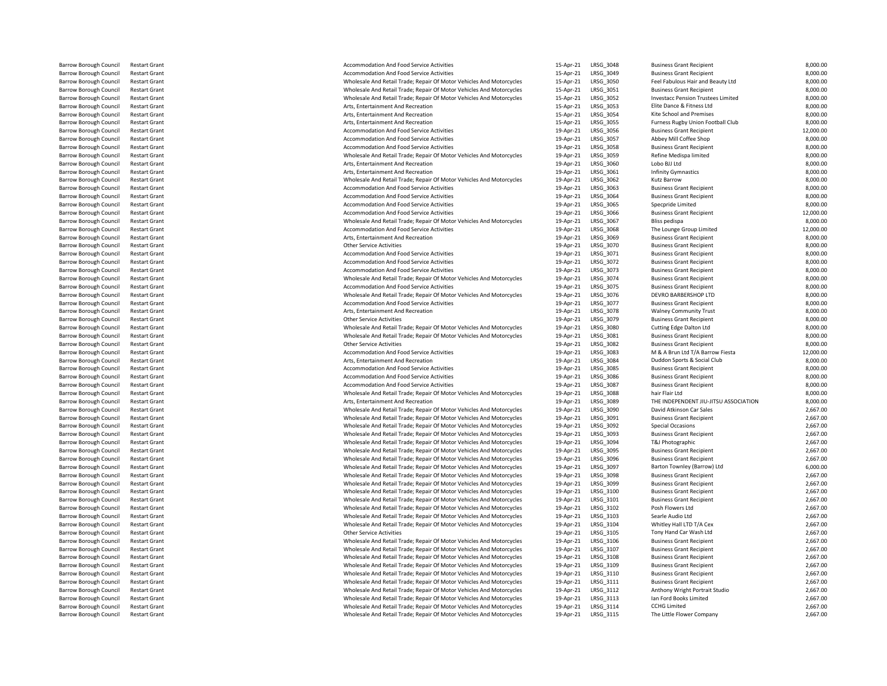| Accommodation And Food Service Activities                                                                                                    | 15-Apr           |
|----------------------------------------------------------------------------------------------------------------------------------------------|------------------|
| Accommodation And Food Service Activities                                                                                                    | 15-Apr           |
| Wholesale And Retail Trade; Repair Of Motor Vehicles And Motorcycles                                                                         | 15-Apr           |
| Wholesale And Retail Trade; Repair Of Motor Vehicles And Motorcycles                                                                         | 15-Apr           |
| Wholesale And Retail Trade; Repair Of Motor Vehicles And Motorcycles                                                                         | 15-Apr           |
| Arts, Entertainment And Recreation                                                                                                           | 15-Apr           |
| Arts, Entertainment And Recreation                                                                                                           | 15-Apr           |
| Arts, Entertainment And Recreation                                                                                                           | 15-Apr           |
| Accommodation And Food Service Activities                                                                                                    | 19-Apr           |
| Accommodation And Food Service Activities                                                                                                    | 19-Apr           |
| Accommodation And Food Service Activities                                                                                                    | 19-Apr           |
| Wholesale And Retail Trade; Repair Of Motor Vehicles And Motorcycles                                                                         | 19-Apr           |
| Arts, Entertainment And Recreation                                                                                                           | 19-Apr           |
| Arts, Entertainment And Recreation                                                                                                           | 19-Apr           |
| Wholesale And Retail Trade; Repair Of Motor Vehicles And Motorcycles                                                                         | 19-Apr           |
| Accommodation And Food Service Activities                                                                                                    | 19-Apr           |
| Accommodation And Food Service Activities                                                                                                    | 19-Apr           |
| Accommodation And Food Service Activities                                                                                                    | 19-Apr           |
| Accommodation And Food Service Activities                                                                                                    | 19-Apr           |
| Wholesale And Retail Trade; Repair Of Motor Vehicles And Motorcycles                                                                         | 19-Apr           |
| Accommodation And Food Service Activities                                                                                                    | 19-Apr           |
| Arts, Entertainment And Recreation                                                                                                           | 19-Apr           |
| <b>Other Service Activities</b>                                                                                                              | 19-Apr           |
| Accommodation And Food Service Activities                                                                                                    | 19-Apr           |
| Accommodation And Food Service Activities                                                                                                    | 19-Apr           |
| Accommodation And Food Service Activities                                                                                                    | 19-Apr           |
| Wholesale And Retail Trade; Repair Of Motor Vehicles And Motorcycles<br>Accommodation And Food Service Activities                            | 19-Apr<br>19-Apr |
| Wholesale And Retail Trade; Repair Of Motor Vehicles And Motorcycles                                                                         |                  |
| Accommodation And Food Service Activities                                                                                                    | 19-Apr<br>19-Apr |
| Arts, Entertainment And Recreation                                                                                                           | 19-Apr           |
| <b>Other Service Activities</b>                                                                                                              | 19-Apr           |
| Wholesale And Retail Trade; Repair Of Motor Vehicles And Motorcycles                                                                         | 19-Apr           |
| Wholesale And Retail Trade; Repair Of Motor Vehicles And Motorcycles                                                                         | 19-Apr           |
| <b>Other Service Activities</b>                                                                                                              | 19-Apr           |
| Accommodation And Food Service Activities                                                                                                    | 19-Apr           |
| Arts, Entertainment And Recreation                                                                                                           | 19-Apr           |
| Accommodation And Food Service Activities                                                                                                    | 19-Apr           |
| Accommodation And Food Service Activities                                                                                                    | 19-Apr           |
| Accommodation And Food Service Activities                                                                                                    | 19-Apr           |
| Wholesale And Retail Trade; Repair Of Motor Vehicles And Motorcycles                                                                         | 19-Apr           |
| Arts, Entertainment And Recreation                                                                                                           | 19-Apr           |
| Wholesale And Retail Trade; Repair Of Motor Vehicles And Motorcycles                                                                         | 19-Apr           |
| Wholesale And Retail Trade; Repair Of Motor Vehicles And Motorcycles                                                                         | 19-Apr           |
| Wholesale And Retail Trade; Repair Of Motor Vehicles And Motorcycles                                                                         | 19-Apr           |
| Wholesale And Retail Trade; Repair Of Motor Vehicles And Motorcycles                                                                         | 19-Apr           |
| Wholesale And Retail Trade; Repair Of Motor Vehicles And Motorcycles                                                                         | 19-Apr           |
| Wholesale And Retail Trade; Repair Of Motor Vehicles And Motorcycles                                                                         | 19-Apr           |
| Wholesale And Retail Trade; Repair Of Motor Vehicles And Motorcycles                                                                         | 19-Apr           |
| Wholesale And Retail Trade; Repair Of Motor Vehicles And Motorcycles                                                                         | 19-Apr           |
| Wholesale And Retail Trade; Repair Of Motor Vehicles And Motorcycles                                                                         | 19-Apr           |
| Wholesale And Retail Trade; Repair Of Motor Vehicles And Motorcycles                                                                         | 19-Apr           |
| Wholesale And Retail Trade; Repair Of Motor Vehicles And Motorcycles                                                                         | 19-Apr           |
| Wholesale And Retail Trade; Repair Of Motor Vehicles And Motorcycles                                                                         | 19-Apr           |
| Wholesale And Retail Trade; Repair Of Motor Vehicles And Motorcycles                                                                         | 19-Apr           |
| Wholesale And Retail Trade; Repair Of Motor Vehicles And Motorcycles                                                                         | 19-Apr           |
| Wholesale And Retail Trade; Repair Of Motor Vehicles And Motorcycles                                                                         | 19-Apr           |
| <b>Other Service Activities</b>                                                                                                              | 19-Apr           |
| Wholesale And Retail Trade; Repair Of Motor Vehicles And Motorcycles                                                                         | 19-Apr           |
| Wholesale And Retail Trade; Repair Of Motor Vehicles And Motorcycles                                                                         | 19-Apr           |
| Wholesale And Retail Trade; Repair Of Motor Vehicles And Motorcycles                                                                         | 19-Apr           |
| Wholesale And Retail Trade; Repair Of Motor Vehicles And Motorcycles                                                                         | 19-Apr           |
| Wholesale And Retail Trade; Repair Of Motor Vehicles And Motorcycles                                                                         | 19-Apr           |
| Wholesale And Retail Trade; Repair Of Motor Vehicles And Motorcycles<br>Wholesale And Retail Trade; Repair Of Motor Vehicles And Motorcycles | 19-Apr<br>19-Apr |
| Wholesale And Retail Trade; Repair Of Motor Vehicles And Motorcycles                                                                         | 19-Apr           |
| Wholesale And Retail Trade; Repair Of Motor Vehicles And Motorcycles                                                                         | 19-Apr           |
| Wholesale And Retail Trade; Repair Of Motor Vehicles And Motorcycles                                                                         | 19-Apr           |
|                                                                                                                                              |                  |

| <b>Barrow Borough Council</b>                    | <b>Restart Grant</b>                         | Accommodation And Food Service Activities                                                               | 15-Apr-21              | LRSG 3048              | <b>Business Grant Recipient</b>                    | 8,000.00             |
|--------------------------------------------------|----------------------------------------------|---------------------------------------------------------------------------------------------------------|------------------------|------------------------|----------------------------------------------------|----------------------|
| <b>Barrow Borough Council</b>                    | <b>Restart Grant</b>                         | Accommodation And Food Service Activities                                                               | 15-Apr-21              | LRSG_3049              | <b>Business Grant Recipient</b>                    | 8,000.00             |
| <b>Barrow Borough Council</b>                    | <b>Restart Grant</b>                         | Wholesale And Retail Trade; Repair Of Motor Vehicles And Motorcycles                                    | 15-Apr-21              | LRSG_3050              | Feel Fabulous Hair and Beauty Ltd                  | 8,000.00             |
| <b>Barrow Borough Council</b>                    | <b>Restart Grant</b>                         | Wholesale And Retail Trade; Repair Of Motor Vehicles And Motorcycles                                    | 15-Apr-21              | LRSG 3051              | <b>Business Grant Recipient</b>                    | 8,000.00             |
| Barrow Borough Council                           | <b>Restart Grant</b>                         | Wholesale And Retail Trade; Repair Of Motor Vehicles And Motorcycles                                    | 15-Apr-21              | LRSG_3052              | Investacc Pension Trustees Limited                 | 8,000.00             |
| <b>Barrow Borough Council</b>                    | <b>Restart Grant</b>                         | Arts, Entertainment And Recreation                                                                      | 15-Apr-21              | LRSG 3053              | Elite Dance & Fitness Ltd                          | 8,000.00             |
| Barrow Borough Council                           | <b>Restart Grant</b>                         | Arts, Entertainment And Recreation                                                                      | 15-Apr-21              | LRSG_3054              | Kite School and Premises                           | 8,000.00             |
| Barrow Borough Council                           | <b>Restart Grant</b>                         | Arts, Entertainment And Recreation                                                                      | 15-Apr-21              | LRSG_3055              | Furness Rugby Union Football Club                  | 8,000.00             |
| Barrow Borough Council                           | <b>Restart Grant</b>                         | Accommodation And Food Service Activities                                                               | 19-Apr-21              | LRSG_3056              | <b>Business Grant Recipient</b>                    | 12,000.00            |
| Barrow Borough Council                           | <b>Restart Grant</b>                         | Accommodation And Food Service Activities                                                               | 19-Apr-21              | LRSG_3057              | Abbey Mill Coffee Shop                             | 8,000.00             |
| <b>Barrow Borough Council</b>                    | <b>Restart Grant</b>                         | Accommodation And Food Service Activities                                                               | 19-Apr-21              | LRSG_3058              | <b>Business Grant Recipient</b>                    | 8,000.00             |
| Barrow Borough Council                           | <b>Restart Grant</b>                         | Wholesale And Retail Trade; Repair Of Motor Vehicles And Motorcycles                                    | 19-Apr-21              | LRSG_3059              | Refine Medispa limited                             | 8,000.00             |
| <b>Barrow Borough Council</b>                    | <b>Restart Grant</b>                         | Arts, Entertainment And Recreation                                                                      | 19-Apr-21              | LRSG_3060              | Lobo BJJ Ltd                                       | 8,000.00             |
| <b>Barrow Borough Council</b>                    | <b>Restart Grant</b>                         | Arts, Entertainment And Recreation                                                                      | 19-Apr-21              | LRSG_3061              | <b>Infinity Gymnastics</b>                         | 8,000.00             |
| Barrow Borough Council                           | <b>Restart Grant</b>                         | Wholesale And Retail Trade; Repair Of Motor Vehicles And Motorcycles                                    | 19-Apr-21              | LRSG_3062              | Kutz Barrow                                        | 8,000.00             |
| Barrow Borough Council                           | <b>Restart Grant</b>                         | Accommodation And Food Service Activities                                                               | 19-Apr-21              | LRSG_3063              | <b>Business Grant Recipient</b>                    | 8,000.00             |
| Barrow Borough Council                           | <b>Restart Grant</b>                         | Accommodation And Food Service Activities                                                               | 19-Apr-21              | LRSG_3064              | <b>Business Grant Recipient</b>                    | 8,000.00             |
| Barrow Borough Council                           | <b>Restart Grant</b>                         | Accommodation And Food Service Activities                                                               | 19-Apr-21              | LRSG_3065              | Specpride Limited                                  | 8,000.00             |
| <b>Barrow Borough Council</b>                    | <b>Restart Grant</b>                         | Accommodation And Food Service Activities                                                               | 19-Apr-21              | LRSG 3066              | <b>Business Grant Recipient</b>                    | 12,000.00            |
| Barrow Borough Council                           | <b>Restart Grant</b>                         | Wholesale And Retail Trade; Repair Of Motor Vehicles And Motorcycles                                    | 19-Apr-21              | LRSG_3067              | Bliss pedispa                                      | 8,000.00             |
| <b>Barrow Borough Council</b>                    | <b>Restart Grant</b>                         | Accommodation And Food Service Activities                                                               | 19-Apr-21              | LRSG 3068              | The Lounge Group Limited                           | 12,000.00            |
| Barrow Borough Council                           | <b>Restart Grant</b>                         | Arts. Entertainment And Recreation                                                                      | 19-Apr-21              | LRSG_3069              | <b>Business Grant Recipient</b>                    | 8,000.00             |
| <b>Barrow Borough Council</b>                    | <b>Restart Grant</b>                         | <b>Other Service Activities</b>                                                                         | 19-Apr-21              | LRSG_3070              | <b>Business Grant Recipient</b>                    | 8,000.00             |
| <b>Barrow Borough Council</b>                    | <b>Restart Grant</b>                         | Accommodation And Food Service Activities                                                               | 19-Apr-21              | LRSG_3071              | <b>Business Grant Recipient</b>                    | 8,000.00             |
| Barrow Borough Council                           | <b>Restart Grant</b>                         | Accommodation And Food Service Activities                                                               | 19-Apr-21              | LRSG_3072              | <b>Business Grant Recipient</b>                    | 8,000.00             |
| Barrow Borough Council                           | <b>Restart Grant</b>                         | Accommodation And Food Service Activities                                                               | 19-Apr-21              | LRSG_3073              | <b>Business Grant Recipient</b>                    | 8,000.00             |
| Barrow Borough Council                           | <b>Restart Grant</b>                         | Wholesale And Retail Trade; Repair Of Motor Vehicles And Motorcycles                                    | 19-Apr-21              | LRSG_3074              | <b>Business Grant Recipient</b>                    | 8,000.00             |
| Barrow Borough Council                           | <b>Restart Grant</b>                         | Accommodation And Food Service Activities                                                               | 19-Apr-21              | LRSG_3075              | <b>Business Grant Recipient</b>                    | 8,000.00             |
| <b>Barrow Borough Council</b>                    | <b>Restart Grant</b>                         | Wholesale And Retail Trade; Repair Of Motor Vehicles And Motorcycles                                    | 19-Apr-21              | LRSG_3076              | DEVRO BARBERSHOP LTD                               | 8,000.00             |
| Barrow Borough Council                           | <b>Restart Grant</b>                         | Accommodation And Food Service Activities                                                               | 19-Apr-21              | LRSG_3077              | <b>Business Grant Recipient</b>                    | 8,000.00             |
| Barrow Borough Council                           | <b>Restart Grant</b>                         | Arts, Entertainment And Recreation                                                                      | 19-Apr-21              | LRSG_3078              | <b>Walney Community Trust</b>                      | 8,000.00             |
| Barrow Borough Council                           | <b>Restart Grant</b>                         | Other Service Activities                                                                                | 19-Apr-21              | LRSG_3079              | <b>Business Grant Recipient</b>                    | 8,000.00             |
| <b>Barrow Borough Council</b>                    | <b>Restart Grant</b>                         | Wholesale And Retail Trade; Repair Of Motor Vehicles And Motorcycles                                    | 19-Apr-21              | LRSG_3080              | Cutting Edge Dalton Ltd                            | 8,000.00             |
| <b>Barrow Borough Council</b>                    | <b>Restart Grant</b>                         | Wholesale And Retail Trade; Repair Of Motor Vehicles And Motorcycles                                    | 19-Apr-21              | LRSG 3081              | <b>Business Grant Recipient</b>                    | 8,000.00             |
| Barrow Borough Council                           | <b>Restart Grant</b>                         | <b>Other Service Activities</b>                                                                         | 19-Apr-21              | LRSG_3082              | <b>Business Grant Recipient</b>                    | 8,000.00             |
| <b>Barrow Borough Council</b>                    | <b>Restart Grant</b>                         | Accommodation And Food Service Activities                                                               | 19-Apr-21              | LRSG 3083              | M & A Brun Ltd T/A Barrow Fiesta                   | 12,000.00            |
| <b>Barrow Borough Council</b>                    | <b>Restart Grant</b>                         | Arts, Entertainment And Recreation                                                                      | 19-Apr-21              | LRSG_3084              | Duddon Sports & Social Club                        | 8,000.00             |
| Barrow Borough Council                           | <b>Restart Grant</b>                         | Accommodation And Food Service Activities                                                               | 19-Apr-21              | LRSG_3085              | <b>Business Grant Recipient</b>                    | 8,000.00             |
| Barrow Borough Council                           | <b>Restart Grant</b>                         | Accommodation And Food Service Activities                                                               | 19-Apr-21              | LRSG_3086              | <b>Business Grant Recipient</b>                    | 8,000.00             |
| Barrow Borough Council                           | <b>Restart Grant</b>                         | Accommodation And Food Service Activities                                                               | 19-Apr-21              | LRSG_3087              | <b>Business Grant Recipient</b>                    | 8,000.00             |
| Barrow Borough Council                           | <b>Restart Grant</b>                         | Wholesale And Retail Trade; Repair Of Motor Vehicles And Motorcycles                                    | 19-Apr-21              | LRSG_3088              | hair Flair Ltd                                     | 8,000.00             |
| Barrow Borough Council                           | <b>Restart Grant</b>                         | Arts. Entertainment And Recreation                                                                      | 19-Apr-21              | LRSG_3089              | THE INDEPENDENT JIU-JITSU ASSOCIATION              | 8,000.00             |
| Barrow Borough Council                           | <b>Restart Grant</b>                         | Wholesale And Retail Trade; Repair Of Motor Vehicles And Motorcycles                                    | 19-Apr-21              | LRSG_3090              | David Atkinson Car Sales                           | 2,667.00             |
| <b>Barrow Borough Council</b>                    | <b>Restart Grant</b>                         | Wholesale And Retail Trade; Repair Of Motor Vehicles And Motorcycles                                    | 19-Apr-21              | LRSG_3091              | <b>Business Grant Recipient</b>                    | 2,667.00             |
| Barrow Borough Council                           | <b>Restart Grant</b>                         | Wholesale And Retail Trade; Repair Of Motor Vehicles And Motorcycles                                    | 19-Apr-21              | LRSG_3092              | <b>Special Occasions</b>                           | 2,667.00             |
| Barrow Borough Council                           | <b>Restart Grant</b>                         | Wholesale And Retail Trade; Repair Of Motor Vehicles And Motorcycles                                    | 19-Apr-21              | LRSG_3093              | <b>Business Grant Recipient</b>                    | 2,667.00             |
| <b>Barrow Borough Council</b>                    | <b>Restart Grant</b>                         | Wholesale And Retail Trade; Repair Of Motor Vehicles And Motorcycles                                    | 19-Apr-21              | LRSG 3094              | T&J Photographic                                   | 2,667.00             |
| <b>Barrow Borough Council</b>                    | <b>Restart Grant</b>                         | Wholesale And Retail Trade; Repair Of Motor Vehicles And Motorcycles                                    | 19-Apr-21              | LRSG 3095              | <b>Business Grant Recipient</b>                    | 2,667.00             |
| <b>Barrow Borough Council</b>                    | <b>Restart Grant</b>                         | Wholesale And Retail Trade; Repair Of Motor Vehicles And Motorcycles                                    | 19-Apr-21              | LRSG 3096              | <b>Business Grant Recipient</b>                    | 2,667.00             |
| Barrow Borough Council                           | <b>Restart Grant</b>                         | Wholesale And Retail Trade; Repair Of Motor Vehicles And Motorcycles                                    | 19-Apr-21              | LRSG_3097              | Barton Townley (Barrow) Ltd                        | 6,000.00             |
| <b>Barrow Borough Council</b>                    | <b>Restart Grant</b>                         | Wholesale And Retail Trade; Repair Of Motor Vehicles And Motorcycles                                    | 19-Apr-21              | LRSG 3098              | <b>Business Grant Recipient</b>                    | 2,667.00             |
| Barrow Borough Council                           | <b>Restart Grant</b>                         | Wholesale And Retail Trade; Repair Of Motor Vehicles And Motorcycles                                    | 19-Apr-21              | LRSG_3099              | <b>Business Grant Recipient</b>                    | 2,667.00             |
| <b>Barrow Borough Council</b>                    | <b>Restart Grant</b>                         | Wholesale And Retail Trade; Repair Of Motor Vehicles And Motorcycles                                    | 19-Apr-21              | LRSG_3100              | <b>Business Grant Recipient</b>                    | 2,667.00             |
| <b>Barrow Borough Council</b>                    | <b>Restart Grant</b>                         | Wholesale And Retail Trade; Repair Of Motor Vehicles And Motorcycles                                    | 19-Apr-21              | LRSG_3101              | <b>Business Grant Recipient</b>                    | 2,667.00             |
| Barrow Borough Council                           | <b>Restart Grant</b>                         | Wholesale And Retail Trade; Repair Of Motor Vehicles And Motorcycles                                    | 19-Apr-21              | LRSG_3102              | Posh Flowers Ltd                                   | 2,667.00             |
| Barrow Borough Council                           | <b>Restart Grant</b><br><b>Restart Grant</b> | Wholesale And Retail Trade; Repair Of Motor Vehicles And Motorcycles                                    | 19-Apr-21              | LRSG_3103              | Searle Audio Ltd                                   | 2,667.00             |
| Barrow Borough Council<br>Barrow Borough Council | <b>Restart Grant</b>                         | Wholesale And Retail Trade; Repair Of Motor Vehicles And Motorcycles<br><b>Other Service Activities</b> | 19-Apr-21              | LRSG_3104<br>LRSG_3105 | Whitley Hall LTD T/A Cex<br>Tony Hand Car Wash Ltd | 2,667.00<br>2,667.00 |
| <b>Barrow Borough Council</b>                    | <b>Restart Grant</b>                         | Wholesale And Retail Trade; Repair Of Motor Vehicles And Motorcycles                                    | 19-Apr-21<br>19-Apr-21 | LRSG_3106              | <b>Business Grant Recipient</b>                    | 2,667.00             |
| Barrow Borough Council                           | <b>Restart Grant</b>                         | Wholesale And Retail Trade; Repair Of Motor Vehicles And Motorcycles                                    | 19-Apr-21              | LRSG_3107              | <b>Business Grant Recipient</b>                    | 2,667.00             |
| Barrow Borough Council                           | <b>Restart Grant</b>                         | Wholesale And Retail Trade; Repair Of Motor Vehicles And Motorcycles                                    | 19-Apr-21              | LRSG_3108              | <b>Business Grant Recipient</b>                    | 2,667.00             |
| Barrow Borough Council                           | <b>Restart Grant</b>                         | Wholesale And Retail Trade; Repair Of Motor Vehicles And Motorcycles                                    | 19-Apr-21              | LRSG_3109              | <b>Business Grant Recipient</b>                    | 2,667.00             |
| <b>Barrow Borough Council</b>                    | <b>Restart Grant</b>                         | Wholesale And Retail Trade; Repair Of Motor Vehicles And Motorcycles                                    | 19-Apr-21              | LRSG_3110              | <b>Business Grant Recipient</b>                    | 2,667.00             |
| <b>Barrow Borough Council</b>                    | <b>Restart Grant</b>                         | Wholesale And Retail Trade; Repair Of Motor Vehicles And Motorcycles                                    | 19-Apr-21              | LRSG 3111              | <b>Business Grant Recipient</b>                    | 2,667.00             |
| Barrow Borough Council                           | <b>Restart Grant</b>                         | Wholesale And Retail Trade; Repair Of Motor Vehicles And Motorcycles                                    | 19-Apr-21              | LRSG_3112              | Anthony Wright Portrait Studio                     | 2,667.00             |
| Barrow Borough Council                           | <b>Restart Grant</b>                         | Wholesale And Retail Trade; Repair Of Motor Vehicles And Motorcycles                                    | 19-Apr-21              | LRSG 3113              | Ian Ford Books Limited                             | 2,667.00             |
| Barrow Borough Council                           | <b>Restart Grant</b>                         | Wholesale And Retail Trade; Repair Of Motor Vehicles And Motorcycles                                    | 19-Apr-21              | LRSG_3114              | <b>CCHG Limited</b>                                | 2,667.00             |
| Barrow Borough Council                           | <b>Restart Grant</b>                         | Wholesale And Retail Trade; Repair Of Motor Vehicles And Motorcycles                                    | 19-Apr-21              | LRSG_3115              | The Little Flower Company                          | 2,667.00             |
|                                                  |                                              |                                                                                                         |                        |                        |                                                    |                      |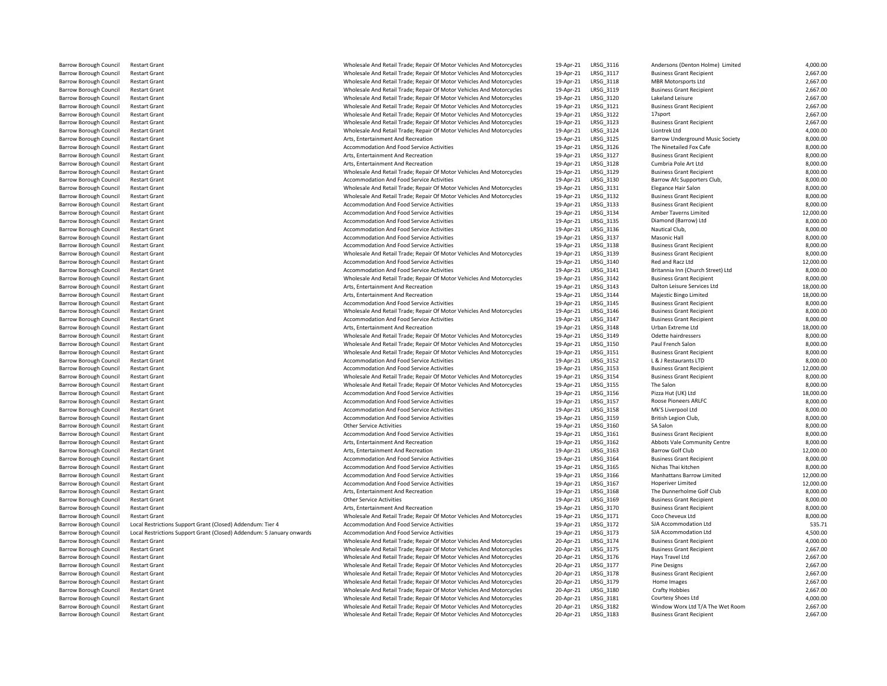| <b>Barrow Borough Council</b> | <b>Restart Grant</b>                                                  | Wholesale And Retail Trade; Repair Of Motor Vehicles And Motorcycles | 19-Apr-21 | LRSG_3116 | Andersons (Denton Holme) Limited        | 4,000.00  |
|-------------------------------|-----------------------------------------------------------------------|----------------------------------------------------------------------|-----------|-----------|-----------------------------------------|-----------|
| <b>Barrow Borough Council</b> | <b>Restart Grant</b>                                                  | Wholesale And Retail Trade; Repair Of Motor Vehicles And Motorcycles | 19-Apr-21 | LRSG_3117 | <b>Business Grant Recipient</b>         | 2,667.00  |
| <b>Barrow Borough Council</b> | <b>Restart Grant</b>                                                  | Wholesale And Retail Trade; Repair Of Motor Vehicles And Motorcycles | 19-Apr-21 | LRSG_3118 | <b>MBR Motorsports Ltd</b>              | 2,667.00  |
| <b>Barrow Borough Council</b> | <b>Restart Grant</b>                                                  | Wholesale And Retail Trade; Repair Of Motor Vehicles And Motorcycles | 19-Apr-21 | LRSG 3119 | <b>Business Grant Recipient</b>         | 2,667.00  |
| <b>Barrow Borough Council</b> | <b>Restart Grant</b>                                                  | Wholesale And Retail Trade; Repair Of Motor Vehicles And Motorcycles | 19-Apr-21 | LRSG_3120 | Lakeland Leisure                        | 2,667.00  |
| <b>Barrow Borough Council</b> | <b>Restart Grant</b>                                                  | Wholesale And Retail Trade; Repair Of Motor Vehicles And Motorcycles | 19-Apr-21 | LRSG 3121 | <b>Business Grant Recipient</b>         | 2,667.00  |
| <b>Barrow Borough Council</b> | <b>Restart Grant</b>                                                  | Wholesale And Retail Trade; Repair Of Motor Vehicles And Motorcycles | 19-Apr-21 | LRSG 3122 | 17sport                                 | 2,667.00  |
| Barrow Borough Council        | <b>Restart Grant</b>                                                  | Wholesale And Retail Trade; Repair Of Motor Vehicles And Motorcycles | 19-Apr-21 | LRSG 3123 | <b>Business Grant Recipient</b>         | 2,667.00  |
| <b>Barrow Borough Council</b> | <b>Restart Grant</b>                                                  | Wholesale And Retail Trade; Repair Of Motor Vehicles And Motorcycles | 19-Apr-21 | LRSG 3124 | Liontrek Ltd                            | 4,000.00  |
| Barrow Borough Council        | <b>Restart Grant</b>                                                  | Arts, Entertainment And Recreation                                   | 19-Apr-21 | LRSG_3125 | <b>Barrow Underground Music Society</b> | 8,000.00  |
| Barrow Borough Council        | <b>Restart Grant</b>                                                  | Accommodation And Food Service Activities                            | 19-Apr-21 | LRSG_3126 | The Ninetailed Fox Cafe                 | 8,000.00  |
| <b>Barrow Borough Council</b> | <b>Restart Grant</b>                                                  | Arts, Entertainment And Recreation                                   | 19-Apr-21 | LRSG_3127 | <b>Business Grant Recipient</b>         | 8,000.00  |
| Barrow Borough Council        | <b>Restart Grant</b>                                                  | Arts, Entertainment And Recreation                                   | 19-Apr-21 | LRSG_3128 | Cumbria Pole Art Ltd                    | 8,000.00  |
| Barrow Borough Council        | <b>Restart Grant</b>                                                  | Wholesale And Retail Trade; Repair Of Motor Vehicles And Motorcycles | 19-Apr-21 | LRSG_3129 | <b>Business Grant Recipient</b>         | 8,000.00  |
| Barrow Borough Council        | <b>Restart Grant</b>                                                  | Accommodation And Food Service Activities                            | 19-Apr-21 | LRSG_3130 | Barrow Afc Supporters Club,             | 8,000.00  |
| Barrow Borough Council        | <b>Restart Grant</b>                                                  | Wholesale And Retail Trade; Repair Of Motor Vehicles And Motorcycles | 19-Apr-21 | LRSG 3131 | Elegance Hair Salon                     | 8,000.00  |
| <b>Barrow Borough Council</b> | <b>Restart Grant</b>                                                  | Wholesale And Retail Trade; Repair Of Motor Vehicles And Motorcycles | 19-Apr-21 | LRSG 3132 | <b>Business Grant Recipient</b>         | 8,000.00  |
| Barrow Borough Council        | <b>Restart Grant</b>                                                  | <b>Accommodation And Food Service Activities</b>                     | 19-Apr-21 | LRSG_3133 | <b>Business Grant Recipient</b>         | 8,000.00  |
| <b>Barrow Borough Council</b> | <b>Restart Grant</b>                                                  | <b>Accommodation And Food Service Activities</b>                     | 19-Apr-21 | LRSG_3134 | Amber Taverns Limited                   | 12,000.00 |
| <b>Barrow Borough Council</b> | <b>Restart Grant</b>                                                  | <b>Accommodation And Food Service Activities</b>                     | 19-Apr-21 | LRSG_3135 | Diamond (Barrow) Ltd                    | 8,000.00  |
| Barrow Borough Council        | <b>Restart Grant</b>                                                  | Accommodation And Food Service Activities                            | 19-Apr-21 | LRSG_3136 | Nautical Club,                          | 8,000.00  |
| Barrow Borough Council        | <b>Restart Grant</b>                                                  | Accommodation And Food Service Activities                            | 19-Apr-21 | LRSG_3137 | Masonic Hall                            | 8,000.00  |
| Barrow Borough Council        | <b>Restart Grant</b>                                                  | Accommodation And Food Service Activities                            | 19-Apr-21 | LRSG_3138 | <b>Business Grant Recipient</b>         | 8,000.00  |
| Barrow Borough Council        | <b>Restart Grant</b>                                                  | Wholesale And Retail Trade; Repair Of Motor Vehicles And Motorcycles | 19-Apr-21 | LRSG_3139 | <b>Business Grant Recipient</b>         | 8,000.00  |
| <b>Barrow Borough Council</b> | <b>Restart Grant</b>                                                  | <b>Accommodation And Food Service Activities</b>                     | 19-Apr-21 | LRSG_3140 | Red and Racz Ltd                        | 12,000.00 |
| Barrow Borough Council        | <b>Restart Grant</b>                                                  | Accommodation And Food Service Activities                            | 19-Apr-21 | LRSG_3141 | Britannia Inn (Church Street) Ltd       | 8,000.00  |
| <b>Barrow Borough Council</b> | <b>Restart Grant</b>                                                  | Wholesale And Retail Trade; Repair Of Motor Vehicles And Motorcycles | 19-Apr-21 | LRSG 3142 | <b>Business Grant Recipient</b>         | 8,000.00  |
| <b>Barrow Borough Council</b> | <b>Restart Grant</b>                                                  | Arts, Entertainment And Recreation                                   | 19-Apr-21 | LRSG_3143 | Dalton Leisure Services Ltd             | 18,000.00 |
| <b>Barrow Borough Council</b> | <b>Restart Grant</b>                                                  | Arts, Entertainment And Recreation                                   | 19-Apr-21 | LRSG_3144 | Majestic Bingo Limited                  | 18,000.00 |
| <b>Barrow Borough Council</b> | <b>Restart Grant</b>                                                  | <b>Accommodation And Food Service Activities</b>                     | 19-Apr-21 | LRSG 3145 | <b>Business Grant Recipient</b>         | 8,000.00  |
| Barrow Borough Council        | <b>Restart Grant</b>                                                  | Wholesale And Retail Trade; Repair Of Motor Vehicles And Motorcycles | 19-Apr-21 | LRSG_3146 | <b>Business Grant Recipient</b>         | 8,000.00  |
| <b>Barrow Borough Council</b> | <b>Restart Grant</b>                                                  | Accommodation And Food Service Activities                            | 19-Apr-21 | LRSG 3147 | <b>Business Grant Recipient</b>         | 8,000.00  |
| <b>Barrow Borough Council</b> | <b>Restart Grant</b>                                                  | Arts, Entertainment And Recreation                                   | 19-Apr-21 | LRSG_3148 | Urban Extreme Ltd                       | 18,000.00 |
| <b>Barrow Borough Council</b> | <b>Restart Grant</b>                                                  | Wholesale And Retail Trade; Repair Of Motor Vehicles And Motorcycles | 19-Apr-21 | LRSG_3149 | Odette hairdressers                     | 8,000.00  |
| <b>Barrow Borough Council</b> | <b>Restart Grant</b>                                                  | Wholesale And Retail Trade; Repair Of Motor Vehicles And Motorcycles | 19-Apr-21 | LRSG_3150 | Paul French Salon                       | 8,000.00  |
| Barrow Borough Council        | <b>Restart Grant</b>                                                  | Wholesale And Retail Trade; Repair Of Motor Vehicles And Motorcycles | 19-Apr-21 | LRSG_3151 | <b>Business Grant Recipient</b>         | 8,000.00  |
| Barrow Borough Council        | <b>Restart Grant</b>                                                  | Accommodation And Food Service Activities                            | 19-Apr-21 | LRSG_3152 | L & J Restaurants LTD                   | 8,000.00  |
| Barrow Borough Council        | <b>Restart Grant</b>                                                  | Accommodation And Food Service Activities                            | 19-Apr-21 | LRSG_3153 | <b>Business Grant Recipient</b>         | 12,000.00 |
| Barrow Borough Council        | <b>Restart Grant</b>                                                  | Wholesale And Retail Trade; Repair Of Motor Vehicles And Motorcycles | 19-Apr-21 | LRSG_3154 | <b>Business Grant Recipient</b>         | 8,000.00  |
| <b>Barrow Borough Council</b> | <b>Restart Grant</b>                                                  | Wholesale And Retail Trade; Repair Of Motor Vehicles And Motorcycles | 19-Apr-21 | LRSG_3155 | The Salon                               | 8,000.00  |
| Barrow Borough Council        | <b>Restart Grant</b>                                                  | Accommodation And Food Service Activities                            | 19-Apr-21 | LRSG_3156 | Pizza Hut (UK) Ltd                      | 18,000.00 |
| Barrow Borough Council        | <b>Restart Grant</b>                                                  | Accommodation And Food Service Activities                            | 19-Apr-21 | LRSG_3157 | Roose Pioneers ARLFC                    | 8,000.00  |
| <b>Barrow Borough Council</b> | <b>Restart Grant</b>                                                  | <b>Accommodation And Food Service Activities</b>                     | 19-Apr-21 | LRSG_3158 | Mk'S Liverpool Ltd                      | 8,000.00  |
| Barrow Borough Council        | <b>Restart Grant</b>                                                  | Accommodation And Food Service Activities                            | 19-Apr-21 | LRSG_3159 | British Legion Club,                    | 8,000.00  |
| Barrow Borough Council        | <b>Restart Grant</b>                                                  | <b>Other Service Activities</b>                                      | 19-Apr-21 | LRSG_3160 | SA Salon                                | 8,000.00  |
| Barrow Borough Council        | <b>Restart Grant</b>                                                  | Accommodation And Food Service Activities                            | 19-Apr-21 | LRSG_3161 | <b>Business Grant Recipient</b>         | 8,000.00  |
| Barrow Borough Council        | <b>Restart Grant</b>                                                  | Arts, Entertainment And Recreation                                   | 19-Apr-21 | LRSG_3162 | Abbots Vale Community Centre            | 8,000.00  |
| <b>Barrow Borough Council</b> | <b>Restart Grant</b>                                                  | Arts, Entertainment And Recreation                                   | 19-Apr-21 | LRSG_3163 | <b>Barrow Golf Club</b>                 | 12,000.00 |
| Barrow Borough Council        | <b>Restart Grant</b>                                                  | Accommodation And Food Service Activities                            | 19-Apr-21 | LRSG_3164 | <b>Business Grant Recipient</b>         | 8,000.00  |
| Barrow Borough Council        | <b>Restart Grant</b>                                                  | Accommodation And Food Service Activities                            | 19-Apr-21 | LRSG_3165 | Nichas Thai kitchen                     | 8,000.00  |
| Barrow Borough Council        | <b>Restart Grant</b>                                                  | Accommodation And Food Service Activities                            | 19-Apr-21 | LRSG_3166 | Manhattans Barrow Limited               | 12,000.00 |
| <b>Barrow Borough Council</b> | <b>Restart Grant</b>                                                  | Accommodation And Food Service Activities                            | 19-Apr-21 | LRSG_3167 | Hoperiver Limited                       | 12,000.00 |
| <b>Barrow Borough Council</b> | <b>Restart Grant</b>                                                  | Arts. Entertainment And Recreation                                   | 19-Apr-21 | LRSG 3168 | The Dunnerholme Golf Club               | 8,000.00  |
| Barrow Borough Council        | <b>Restart Grant</b>                                                  | <b>Other Service Activities</b>                                      | 19-Apr-21 | LRSG_3169 | <b>Business Grant Recipient</b>         | 8,000.00  |
| <b>Barrow Borough Council</b> | <b>Restart Grant</b>                                                  | Arts, Entertainment And Recreation                                   | 19-Apr-21 | LRSG 3170 | <b>Business Grant Recipient</b>         | 8,000.00  |
| <b>Barrow Borough Council</b> | <b>Restart Grant</b>                                                  | Wholesale And Retail Trade; Repair Of Motor Vehicles And Motorcycles | 19-Apr-21 | LRSG_3171 | Coco Cheveux Ltd                        | 8,000.00  |
| <b>Barrow Borough Council</b> | Local Restrictions Support Grant (Closed) Addendum: Tier 4            | Accommodation And Food Service Activities                            | 19-Apr-21 | LRSG 3172 | SJA Accommodation Ltd                   | 535.71    |
| <b>Barrow Borough Council</b> | Local Restrictions Support Grant (Closed) Addendum: 5 January onwards | Accommodation And Food Service Activities                            | 19-Apr-21 | LRSG 3173 | SJA Accommodation Ltd                   | 4,500.00  |
| Barrow Borough Council        | <b>Restart Grant</b>                                                  | Wholesale And Retail Trade; Repair Of Motor Vehicles And Motorcycles | 20-Apr-21 | LRSG_3174 | <b>Business Grant Recipient</b>         | 4,000.00  |
| Barrow Borough Council        | <b>Restart Grant</b>                                                  | Wholesale And Retail Trade; Repair Of Motor Vehicles And Motorcycles | 20-Apr-21 | LRSG_3175 | <b>Business Grant Recipient</b>         | 2,667.00  |
| Barrow Borough Council        | <b>Restart Grant</b>                                                  | Wholesale And Retail Trade; Repair Of Motor Vehicles And Motorcycles | 20-Apr-21 | LRSG_3176 | Hays Travel Ltd                         | 2,667.00  |
| Barrow Borough Council        | <b>Restart Grant</b>                                                  | Wholesale And Retail Trade; Repair Of Motor Vehicles And Motorcycles | 20-Apr-21 | LRSG_3177 | Pine Designs                            | 2,667.00  |
| <b>Barrow Borough Council</b> | <b>Restart Grant</b>                                                  | Wholesale And Retail Trade; Repair Of Motor Vehicles And Motorcycles | 20-Apr-21 | LRSG_3178 | <b>Business Grant Recipient</b>         | 2,667.00  |
| Barrow Borough Council        | <b>Restart Grant</b>                                                  | Wholesale And Retail Trade; Repair Of Motor Vehicles And Motorcycles | 20-Apr-21 | LRSG_3179 | Home Images                             | 2,667.00  |
| <b>Barrow Borough Council</b> | <b>Restart Grant</b>                                                  | Wholesale And Retail Trade; Repair Of Motor Vehicles And Motorcycles | 20-Apr-21 | LRSG_3180 | <b>Crafty Hobbies</b>                   | 2,667.00  |
| <b>Barrow Borough Council</b> | <b>Restart Grant</b>                                                  | Wholesale And Retail Trade; Repair Of Motor Vehicles And Motorcycles | 20-Apr-21 | LRSG_3181 | Courtesy Shoes Ltd                      | 4,000.00  |
| Barrow Borough Council        | <b>Restart Grant</b>                                                  | Wholesale And Retail Trade; Repair Of Motor Vehicles And Motorcycles | 20-Apr-21 | LRSG 3182 | Window Worx Ltd T/A The Wet Room        | 2,667.00  |
| <b>Barrow Borough Council</b> | <b>Restart Grant</b>                                                  | Wholesale And Retail Trade; Repair Of Motor Vehicles And Motorcycles | 20-Apr-21 | LRSG_3183 | <b>Business Grant Recipient</b>         | 2,667.00  |
|                               |                                                                       |                                                                      |           |           |                                         |           |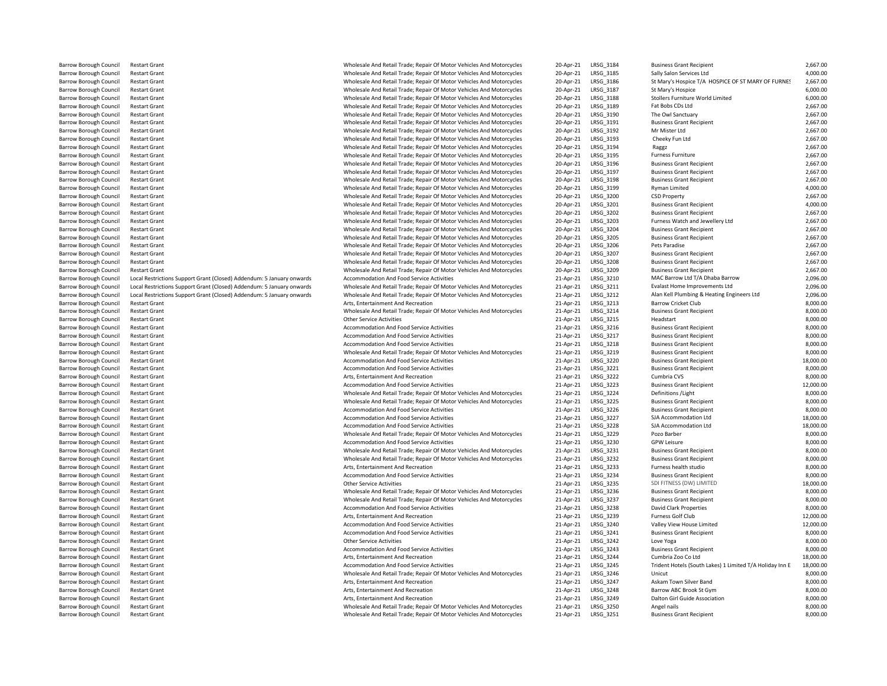| <b>Barrow Borough Council</b> | <b>Restart Grant</b>                                                  | Wholesale And Retail Trade; Repair Of Motor Vehicles And Motorcycles | 20-Apr-21           | LRSG_3184        | <b>Business Grant Recipient</b>                          | 2,667.00  |
|-------------------------------|-----------------------------------------------------------------------|----------------------------------------------------------------------|---------------------|------------------|----------------------------------------------------------|-----------|
| <b>Barrow Borough Council</b> | <b>Restart Grant</b>                                                  | Wholesale And Retail Trade; Repair Of Motor Vehicles And Motorcycles | 20-Apr-21           | LRSG 3185        | Sally Salon Services Ltd                                 | 4,000.00  |
| <b>Barrow Borough Council</b> | <b>Restart Grant</b>                                                  | Wholesale And Retail Trade; Repair Of Motor Vehicles And Motorcycles | 20-Apr-21           | LRSG 3186        | St Mary's Hospice T/A HOSPICE OF ST MARY OF FURNES       | 2,667.00  |
| Barrow Borough Council        | <b>Restart Grant</b>                                                  | Wholesale And Retail Trade; Repair Of Motor Vehicles And Motorcycles | 20-Apr-21           | LRSG_3187        | St Mary's Hospice                                        | 6,000.00  |
| Barrow Borough Council        | <b>Restart Grant</b>                                                  | Wholesale And Retail Trade; Repair Of Motor Vehicles And Motorcycles | 20-Apr-21           | LRSG_3188        | Stollers Furniture World Limited                         | 6,000.00  |
| Barrow Borough Council        | <b>Restart Grant</b>                                                  | Wholesale And Retail Trade; Repair Of Motor Vehicles And Motorcycles | 20-Apr-21           | LRSG 3189        | Fat Bobs CDs Ltd                                         | 2,667.00  |
| Barrow Borough Council        | <b>Restart Grant</b>                                                  | Wholesale And Retail Trade; Repair Of Motor Vehicles And Motorcycles | 20-Apr-21           | LRSG_3190        | The Owl Sanctuary                                        | 2,667.00  |
| <b>Barrow Borough Council</b> | <b>Restart Grant</b>                                                  | Wholesale And Retail Trade; Repair Of Motor Vehicles And Motorcycles | 20-Apr-21           | LRSG_3191        | <b>Business Grant Recipient</b>                          | 2,667.00  |
| Barrow Borough Council        | <b>Restart Grant</b>                                                  | Wholesale And Retail Trade; Repair Of Motor Vehicles And Motorcycles | 20-Apr-21           | LRSG_3192        | Mr Mister Ltd                                            | 2,667.00  |
| <b>Barrow Borough Council</b> | <b>Restart Grant</b>                                                  | Wholesale And Retail Trade; Repair Of Motor Vehicles And Motorcycles | 20-Apr-21           | LRSG 3193        | Cheeky Fun Ltd                                           | 2,667.00  |
| Barrow Borough Council        | <b>Restart Grant</b>                                                  | Wholesale And Retail Trade; Repair Of Motor Vehicles And Motorcycles | 20-Apr-21           | LRSG_3194        | Raggz                                                    | 2,667.00  |
| <b>Barrow Borough Council</b> | <b>Restart Grant</b>                                                  | Wholesale And Retail Trade; Repair Of Motor Vehicles And Motorcycles | 20-Apr-21           | LRSG_3195        | Furness Furniture                                        | 2,667.00  |
| <b>Barrow Borough Council</b> | <b>Restart Grant</b>                                                  | Wholesale And Retail Trade; Repair Of Motor Vehicles And Motorcycles | 20-Apr-21           | LRSG 3196        | <b>Business Grant Recipient</b>                          | 2,667.00  |
| Barrow Borough Council        | <b>Restart Grant</b>                                                  | Wholesale And Retail Trade; Repair Of Motor Vehicles And Motorcycles | 20-Apr-21           | LRSG_3197        | <b>Business Grant Recipient</b>                          | 2,667.00  |
| <b>Barrow Borough Council</b> | <b>Restart Grant</b>                                                  | Wholesale And Retail Trade; Repair Of Motor Vehicles And Motorcycles | 20-Apr-21           | LRSG 3198        | <b>Business Grant Recipient</b>                          | 2,667.00  |
| Barrow Borough Council        | <b>Restart Grant</b>                                                  | Wholesale And Retail Trade; Repair Of Motor Vehicles And Motorcycles | 20-Apr-21           | LRSG_3199        | Ryman Limited                                            | 4,000.00  |
| <b>Barrow Borough Council</b> | <b>Restart Grant</b>                                                  | Wholesale And Retail Trade; Repair Of Motor Vehicles And Motorcycles | 20-Apr-21           | LRSG_3200        | <b>CSD Property</b>                                      | 2,667.00  |
| <b>Barrow Borough Council</b> | <b>Restart Grant</b>                                                  | Wholesale And Retail Trade; Repair Of Motor Vehicles And Motorcycles | 20-Apr-21           | LRSG_3201        | <b>Business Grant Recipient</b>                          | 4,000.00  |
| <b>Barrow Borough Council</b> | <b>Restart Grant</b>                                                  | Wholesale And Retail Trade; Repair Of Motor Vehicles And Motorcycles | 20-Apr-21           | LRSG 3202        | <b>Business Grant Recipient</b>                          | 2,667.00  |
| <b>Barrow Borough Council</b> | <b>Restart Grant</b>                                                  | Wholesale And Retail Trade; Repair Of Motor Vehicles And Motorcycles | 20-Apr-21           | LRSG_3203        | Furness Watch and Jewellery Ltd                          | 2,667.00  |
| Barrow Borough Council        | <b>Restart Grant</b>                                                  | Wholesale And Retail Trade; Repair Of Motor Vehicles And Motorcycles | 20-Apr-21           | LRSG_3204        | <b>Business Grant Recipient</b>                          | 2,667.00  |
| Barrow Borough Council        | <b>Restart Grant</b>                                                  | Wholesale And Retail Trade; Repair Of Motor Vehicles And Motorcycles | 20-Apr-21           | LRSG_3205        | <b>Business Grant Recipient</b>                          | 2,667.00  |
| Barrow Borough Council        | <b>Restart Grant</b>                                                  | Wholesale And Retail Trade; Repair Of Motor Vehicles And Motorcycles | 20-Apr-21           | LRSG_3206        | Pets Paradise                                            | 2,667.00  |
| Barrow Borough Council        | <b>Restart Grant</b>                                                  | Wholesale And Retail Trade; Repair Of Motor Vehicles And Motorcycles | 20-Apr-21           | LRSG_3207        | <b>Business Grant Recipient</b>                          | 2,667.00  |
| <b>Barrow Borough Council</b> | <b>Restart Grant</b>                                                  | Wholesale And Retail Trade; Repair Of Motor Vehicles And Motorcycles | 20-Apr-21           | LRSG_3208        | <b>Business Grant Recipient</b>                          | 2,667.00  |
| Barrow Borough Council        | <b>Restart Grant</b>                                                  | Wholesale And Retail Trade; Repair Of Motor Vehicles And Motorcycles | 20-Apr-21           | LRSG_3209        | <b>Business Grant Recipient</b>                          | 2,667.00  |
| <b>Barrow Borough Council</b> | Local Restrictions Support Grant (Closed) Addendum: 5 January onwards | Accommodation And Food Service Activities                            | 21-Apr-21           | LRSG 3210        | MAC Barrow Ltd T/A Dhaba Barrow                          | 2,096.00  |
| Barrow Borough Council        | Local Restrictions Support Grant (Closed) Addendum: 5 January onwards | Wholesale And Retail Trade; Repair Of Motor Vehicles And Motorcycles | 21-Apr-21           | LRSG_3211        | Evalast Home Improvements Ltd                            | 2,096.00  |
| Barrow Borough Council        | Local Restrictions Support Grant (Closed) Addendum: 5 January onwards | Wholesale And Retail Trade; Repair Of Motor Vehicles And Motorcycles | 21-Apr-21           | LRSG_3212        | Alan Kell Plumbing & Heating Engineers Ltd               | 2,096.00  |
| <b>Barrow Borough Council</b> | <b>Restart Grant</b>                                                  | Arts, Entertainment And Recreation                                   | 21-Apr-21           | LRSG_3213        | <b>Barrow Cricket Club</b>                               | 8,000.00  |
| Barrow Borough Council        | <b>Restart Grant</b>                                                  | Wholesale And Retail Trade; Repair Of Motor Vehicles And Motorcycles | 21-Apr-21           | LRSG 3214        | <b>Business Grant Recipient</b>                          | 8,000.00  |
| <b>Barrow Borough Council</b> | <b>Restart Grant</b>                                                  | <b>Other Service Activities</b>                                      | 21-Apr-21           | LRSG 3215        | Headstart                                                | 8,000.00  |
| Barrow Borough Council        | <b>Restart Grant</b>                                                  | <b>Accommodation And Food Service Activities</b>                     | 21-Apr-21           | LRSG_3216        | <b>Business Grant Recipient</b>                          | 8,000.00  |
| <b>Barrow Borough Council</b> | <b>Restart Grant</b>                                                  | Accommodation And Food Service Activities                            | 21-Apr-21           | LRSG_3217        | <b>Business Grant Recipient</b>                          | 8,000.00  |
| <b>Barrow Borough Council</b> | <b>Restart Grant</b>                                                  | Accommodation And Food Service Activities                            | 21-Apr-21           | LRSG_3218        | <b>Business Grant Recipient</b>                          | 8,000.00  |
| <b>Barrow Borough Council</b> | <b>Restart Grant</b>                                                  | Wholesale And Retail Trade; Repair Of Motor Vehicles And Motorcycles | 21-Apr-21           | LRSG 3219        | <b>Business Grant Recipient</b>                          | 8,000.00  |
| <b>Barrow Borough Council</b> | <b>Restart Grant</b>                                                  | Accommodation And Food Service Activities                            | 21-Apr-21           | LRSG 3220        | <b>Business Grant Recipient</b>                          | 18,000.00 |
| Barrow Borough Council        | <b>Restart Grant</b>                                                  | Accommodation And Food Service Activities                            | 21-Apr-21           | LRSG_3221        | <b>Business Grant Recipient</b>                          | 8,000.00  |
| Barrow Borough Council        | <b>Restart Grant</b>                                                  | Arts, Entertainment And Recreation                                   | 21-Apr-21           | LRSG_3222        | Cumbria CVS                                              | 8,000.00  |
| Barrow Borough Council        | <b>Restart Grant</b>                                                  | Accommodation And Food Service Activities                            | 21-Apr-21           | LRSG_3223        | <b>Business Grant Recipient</b>                          | 12,000.00 |
| Barrow Borough Council        | <b>Restart Grant</b>                                                  | Wholesale And Retail Trade; Repair Of Motor Vehicles And Motorcycles | 21-Apr-21           | LRSG_3224        | Definitions / Light                                      | 8,000.00  |
| <b>Barrow Borough Council</b> | <b>Restart Grant</b>                                                  | Wholesale And Retail Trade; Repair Of Motor Vehicles And Motorcycles | 21-Apr-21           | LRSG_3225        | <b>Business Grant Recipient</b>                          | 8,000.00  |
| Barrow Borough Council        | <b>Restart Grant</b>                                                  | Accommodation And Food Service Activities                            | 21-Apr-21           | LRSG_3226        | <b>Business Grant Recipient</b>                          | 8,000.00  |
| <b>Barrow Borough Council</b> | <b>Restart Grant</b>                                                  | Accommodation And Food Service Activities                            | 21-Apr-21           | LRSG 3227        | SJA Accommodation Ltd                                    | 18,000.00 |
| Barrow Borough Council        | <b>Restart Grant</b>                                                  | Accommodation And Food Service Activities                            | 21-Apr-21           | LRSG_3228        | SJA Accommodation Ltd                                    | 18,000.00 |
| Barrow Borough Council        | <b>Restart Grant</b>                                                  | Wholesale And Retail Trade; Repair Of Motor Vehicles And Motorcycles | 21-Apr-21           | LRSG 3229        | Pozo Barber                                              | 8,000.00  |
| Barrow Borough Council        | <b>Restart Grant</b>                                                  | Accommodation And Food Service Activities                            | 21-Apr-21           | LRSG 3230        | <b>GPW Leisure</b>                                       | 8,000.00  |
| Barrow Borough Council        | <b>Restart Grant</b>                                                  | Wholesale And Retail Trade; Repair Of Motor Vehicles And Motorcycles | 21-Apr-21           | LRSG_3231        | <b>Business Grant Recipient</b>                          | 8,000.00  |
| Barrow Borough Council        | <b>Restart Grant</b>                                                  | Wholesale And Retail Trade; Repair Of Motor Vehicles And Motorcycles | 21-Apr-21           | LRSG_3232        | <b>Business Grant Recipient</b>                          | 8,000.00  |
| Barrow Borough Council        | <b>Restart Grant</b>                                                  | Arts, Entertainment And Recreation                                   | 21-Apr-21           | LRSG_3233        | Furness health studio                                    | 8,000.00  |
| <b>Barrow Borough Council</b> | <b>Restart Grant</b>                                                  | Accommodation And Food Service Activities                            | 21-Apr-21           | LRSG_3234        | <b>Business Grant Recipient</b>                          | 8,000.00  |
| <b>Barrow Borough Council</b> | <b>Restart Grant</b>                                                  | Other Service Activities                                             | 21-Apr-21           | LRSG_3235        | SDI FITNESS (DW) LIMITED                                 | 18,000.00 |
| <b>Barrow Borough Council</b> | <b>Restart Grant</b>                                                  | Wholesale And Retail Trade; Repair Of Motor Vehicles And Motorcycles | 21-Apr-21           | LRSG 3236        | <b>Business Grant Recipient</b>                          | 8,000.00  |
| <b>Barrow Borough Council</b> | <b>Restart Grant</b>                                                  | Wholesale And Retail Trade; Repair Of Motor Vehicles And Motorcycles | 21-Apr-21           | <b>LRSG 3237</b> | <b>Business Grant Recipient</b>                          | 8,000.00  |
| Barrow Borough Council        | <b>Restart Grant</b>                                                  | Accommodation And Food Service Activities                            | 21-Apr-21           | LRSG_3238        | David Clark Properties                                   | 8,000.00  |
| Barrow Borough Council        | <b>Restart Grant</b>                                                  | Arts, Entertainment And Recreation                                   | 21-Apr-21           | LRSG_3239        | Furness Golf Club                                        | 12,000.00 |
| Barrow Borough Council        | <b>Restart Grant</b>                                                  | Accommodation And Food Service Activities                            | 21-Apr-21           | LRSG_3240        | Valley View House Limited                                | 12,000.00 |
| Barrow Borough Council        | <b>Restart Grant</b>                                                  | Accommodation And Food Service Activities                            | 21-Apr-21           | LRSG_3241        | <b>Business Grant Recipient</b>                          | 8,000.00  |
| <b>Barrow Borough Council</b> | <b>Restart Grant</b>                                                  | <b>Other Service Activities</b>                                      | 21-Apr-21           | LRSG_3242        | Love Yoga                                                | 8,000.00  |
| <b>Barrow Borough Council</b> | <b>Restart Grant</b>                                                  | Accommodation And Food Service Activities                            | 21-Apr-21           | LRSG_3243        | <b>Business Grant Recipient</b>                          | 8,000.00  |
| <b>Barrow Borough Council</b> | <b>Restart Grant</b>                                                  | Arts, Entertainment And Recreation                                   | 21-Apr-21           | LRSG 3244        | Cumbria Zoo Co Ltd                                       | 18,000.00 |
| <b>Barrow Borough Council</b> | <b>Restart Grant</b>                                                  | Accommodation And Food Service Activities                            | 21-Apr-21           | LRSG_3245        | Trident Hotels (South Lakes) 1 Limited T/A Holiday Inn E | 18,000.00 |
| <b>Barrow Borough Council</b> | <b>Restart Grant</b>                                                  | Wholesale And Retail Trade; Repair Of Motor Vehicles And Motorcycles | 21-Apr-21           | LRSG 3246        | Unicut                                                   | 8,000.00  |
| <b>Barrow Borough Council</b> | <b>Restart Grant</b>                                                  | Arts, Entertainment And Recreation                                   | 21-Apr-21           | LRSG_3247        | Askam Town Silver Band                                   | 8,000.00  |
| Barrow Borough Council        | <b>Restart Grant</b>                                                  | Arts, Entertainment And Recreation                                   | 21-Apr-21           | LRSG_3248        | Barrow ABC Brook St Gym                                  | 8,000.00  |
| Barrow Borough Council        | <b>Restart Grant</b>                                                  | Arts, Entertainment And Recreation                                   | 21-Apr-21           | LRSG_3249        | Dalton Girl Guide Association                            | 8,000.00  |
| Barrow Borough Council        | <b>Restart Grant</b>                                                  | Wholesale And Retail Trade; Repair Of Motor Vehicles And Motorcycles | 21-Apr-21 LRSG 3250 |                  | Angel nails                                              | 8,000.00  |
| Barrow Borough Council        | <b>Restart Grant</b>                                                  | Wholesale And Retail Trade: Repair Of Motor Vehicles And Motorcycles |                     |                  | <b>Business Grant Recipient</b>                          | 8.000.00  |
|                               |                                                                       |                                                                      |                     |                  |                                                          |           |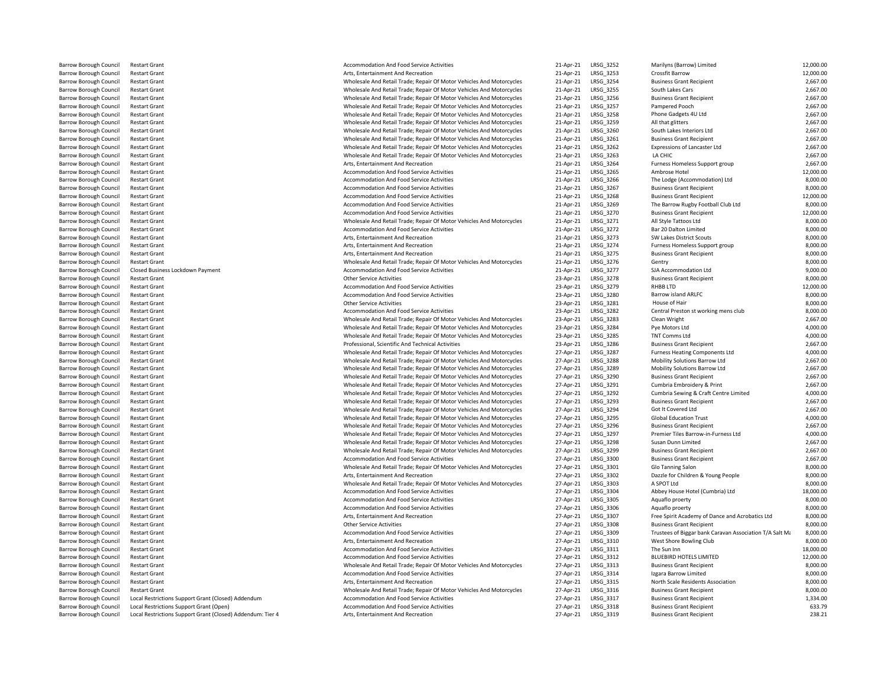| Barrow Borough Council                                         | Restart Grant                                |
|----------------------------------------------------------------|----------------------------------------------|
| <b>Barrow Borough Council</b>                                  | <b>Restart Grant</b>                         |
| <b>Barrow Borough Council</b>                                  | <b>Restart Grant</b>                         |
| <b>Barrow Borough Council</b>                                  | <b>Restart Grant</b>                         |
| Barrow Borough Council                                         | <b>Restart Grant</b>                         |
| <b>Barrow Borough Council</b>                                  | <b>Restart Grant</b>                         |
| <b>Barrow Borough Council</b>                                  | <b>Restart Grant</b>                         |
| <b>Barrow Borough Council</b>                                  | <b>Restart Grant</b>                         |
| <b>Barrow Borough Council</b>                                  | <b>Restart Grant</b>                         |
| Barrow Borough Council                                         | <b>Restart Grant</b>                         |
| <b>Barrow Borough Council</b>                                  | <b>Restart Grant</b>                         |
| <b>Barrow Borough Council</b>                                  | <b>Restart Grant</b>                         |
| <b>Barrow Borough Council</b>                                  | <b>Restart Grant</b>                         |
| Barrow Borough Council                                         | <b>Restart Grant</b>                         |
| <b>Barrow Borough Council</b>                                  | <b>Restart Grant</b>                         |
| <b>Barrow Borough Council</b>                                  | <b>Restart Grant</b>                         |
| <b>Barrow Borough Council</b>                                  | <b>Restart Grant</b>                         |
| <b>Barrow Borough Council</b>                                  | <b>Restart Grant</b>                         |
| <b>Barrow Borough Council</b>                                  | <b>Restart Grant</b>                         |
| Barrow Borough Council                                         | <b>Restart Grant</b>                         |
| <b>Barrow Borough Council</b>                                  | <b>Restart Grant</b>                         |
| <b>Barrow Borough Council</b>                                  | <b>Restart Grant</b>                         |
| <b>Barrow Borough Council</b>                                  | <b>Restart Grant</b>                         |
| Barrow Borough Council                                         | <b>Restart Grant</b>                         |
| <b>Barrow Borough Council</b>                                  | <b>Restart Grant</b>                         |
| <b>Barrow Borough Council</b>                                  | Closed Business Lockdown Pa                  |
| <b>Barrow Borough Council</b>                                  | <b>Restart Grant</b>                         |
| Barrow Borough Council                                         | <b>Restart Grant</b>                         |
| <b>Barrow Borough Council</b>                                  | <b>Restart Grant</b>                         |
| <b>Barrow Borough Council</b>                                  | <b>Restart Grant</b>                         |
| <b>Barrow Borough Council</b>                                  | <b>Restart Grant</b>                         |
| <b>Barrow Borough Council</b>                                  | <b>Restart Grant</b>                         |
| Barrow Borough Council                                         | <b>Restart Grant</b>                         |
| <b>Barrow Borough Council</b>                                  | <b>Restart Grant</b>                         |
| <b>Barrow Borough Council</b>                                  | <b>Restart Grant</b>                         |
| <b>Barrow Borough Council</b>                                  | <b>Restart Grant</b>                         |
| <b>Barrow Borough Council</b>                                  | <b>Restart Grant</b>                         |
| <b>Barrow Borough Council</b>                                  | <b>Restart Grant</b>                         |
| <b>Barrow Borough Council</b>                                  | <b>Restart Grant</b>                         |
| <b>Barrow Borough Council</b>                                  | <b>Restart Grant</b><br><b>Restart Grant</b> |
| <b>Barrow Borough Council</b>                                  |                                              |
| <b>Barrow Borough Council</b><br><b>Barrow Borough Council</b> | <b>Restart Grant</b><br><b>Restart Grant</b> |
| <b>Barrow Borough Council</b>                                  | <b>Restart Grant</b>                         |
| <b>Barrow Borough Council</b>                                  | <b>Restart Grant</b>                         |
| <b>Barrow Borough Council</b>                                  | <b>Restart Grant</b>                         |
| Barrow Borough Council                                         | <b>Restart Grant</b>                         |
| <b>Barrow Borough Council</b>                                  | <b>Restart Grant</b>                         |
| <b>Barrow Borough Council</b>                                  | <b>Restart Grant</b>                         |
| <b>Barrow Borough Council</b>                                  | <b>Restart Grant</b>                         |
| <b>Barrow Borough Council</b>                                  | <b>Restart Grant</b>                         |
| <b>Barrow Borough Council</b>                                  | <b>Restart Grant</b>                         |
| <b>Barrow Borough Council</b>                                  | <b>Restart Grant</b>                         |
| <b>Barrow Borough Council</b>                                  | <b>Restart Grant</b>                         |
| <b>Barrow Borough Council</b>                                  | <b>Restart Grant</b>                         |
| Barrow Borough Council                                         | <b>Restart Grant</b>                         |
| <b>Barrow Borough Council</b>                                  | <b>Restart Grant</b>                         |
| <b>Barrow Borough Council</b>                                  | <b>Restart Grant</b>                         |
| <b>Barrow Borough Council</b>                                  | <b>Restart Grant</b>                         |
| Barrow Borough Council                                         | <b>Restart Grant</b>                         |
| <b>Barrow Borough Council</b>                                  | <b>Restart Grant</b>                         |
| <b>Barrow Borough Council</b>                                  | <b>Restart Grant</b>                         |
| <b>Barrow Borough Council</b>                                  | <b>Restart Grant</b>                         |
| <b>Barrow Borough Council</b>                                  | <b>Restart Grant</b>                         |
| Barrow Borough Council                                         | <b>Restart Grant</b>                         |
| <b>Barrow Borough Council</b>                                  | <b>Local Restrictions Support Gra</b>        |
| <b>Barrow Borough Council</b>                                  | <b>Local Restrictions Support Gra</b>        |
| <b>Barrow Borough Council</b>                                  | Local Restrictions Sunnort Gra               |

| Accommodation And Food Service Activities                            |
|----------------------------------------------------------------------|
| Arts, Entertainment And Recreation                                   |
| Wholesale And Retail Trade; Repair Of Motor Vehicles And Motorcycles |
| Wholesale And Retail Trade; Repair Of Motor Vehicles And Motorcycles |
| Wholesale And Retail Trade; Repair Of Motor Vehicles And Motorcycles |
|                                                                      |
| Wholesale And Retail Trade; Repair Of Motor Vehicles And Motorcycles |
| Wholesale And Retail Trade; Repair Of Motor Vehicles And Motorcycles |
| Wholesale And Retail Trade; Repair Of Motor Vehicles And Motorcycles |
| Wholesale And Retail Trade; Repair Of Motor Vehicles And Motorcycles |
| Wholesale And Retail Trade; Repair Of Motor Vehicles And Motorcycles |
| Wholesale And Retail Trade; Repair Of Motor Vehicles And Motorcycles |
| Wholesale And Retail Trade; Repair Of Motor Vehicles And Motorcycles |
|                                                                      |
| Arts, Entertainment And Recreation                                   |
| Accommodation And Food Service Activities                            |
| <b>Accommodation And Food Service Activities</b>                     |
| Accommodation And Food Service Activities                            |
| <b>Accommodation And Food Service Activities</b>                     |
| Accommodation And Food Service Activities                            |
| Accommodation And Food Service Activities                            |
| Wholesale And Retail Trade; Repair Of Motor Vehicles And Motorcycles |
| Accommodation And Food Service Activities                            |
|                                                                      |
| Arts, Entertainment And Recreation                                   |
| Arts, Entertainment And Recreation                                   |
| Arts, Entertainment And Recreation                                   |
| Wholesale And Retail Trade; Repair Of Motor Vehicles And Motorcycles |
| Accommodation And Food Service Activities                            |
| <b>Other Service Activities</b>                                      |
| Accommodation And Food Service Activities                            |
| Accommodation And Food Service Activities                            |
| <b>Other Service Activities</b>                                      |
|                                                                      |
| Accommodation And Food Service Activities                            |
| Wholesale And Retail Trade; Repair Of Motor Vehicles And Motorcycles |
| Wholesale And Retail Trade; Repair Of Motor Vehicles And Motorcycles |
| Wholesale And Retail Trade; Repair Of Motor Vehicles And Motorcycles |
| Professional, Scientific And Technical Activities                    |
| Wholesale And Retail Trade; Repair Of Motor Vehicles And Motorcycles |
| Wholesale And Retail Trade; Repair Of Motor Vehicles And Motorcycles |
| Wholesale And Retail Trade; Repair Of Motor Vehicles And Motorcycles |
|                                                                      |
| Wholesale And Retail Trade; Repair Of Motor Vehicles And Motorcycles |
| Wholesale And Retail Trade; Repair Of Motor Vehicles And Motorcycles |
| Wholesale And Retail Trade; Repair Of Motor Vehicles And Motorcycles |
| Wholesale And Retail Trade; Repair Of Motor Vehicles And Motorcycles |
| Wholesale And Retail Trade; Repair Of Motor Vehicles And Motorcycles |
| Wholesale And Retail Trade; Repair Of Motor Vehicles And Motorcycles |
| Wholesale And Retail Trade; Repair Of Motor Vehicles And Motorcycles |
| Wholesale And Retail Trade; Repair Of Motor Vehicles And Motorcycles |
| Wholesale And Retail Trade; Repair Of Motor Vehicles And Motorcycles |
| Wholesale And Retail Trade; Repair Of Motor Vehicles And Motorcycles |
|                                                                      |
| Accommodation And Food Service Activities                            |
| Wholesale And Retail Trade; Repair Of Motor Vehicles And Motorcycles |
| Arts, Entertainment And Recreation                                   |
| Wholesale And Retail Trade; Repair Of Motor Vehicles And Motorcycles |
| Accommodation And Food Service Activities                            |
| Accommodation And Food Service Activities                            |
| Accommodation And Food Service Activities                            |
| Arts, Entertainment And Recreation                                   |
| <b>Other Service Activities</b>                                      |
|                                                                      |
| Accommodation And Food Service Activities                            |
| Arts, Entertainment And Recreation                                   |
| Accommodation And Food Service Activities                            |
| Accommodation And Food Service Activities                            |
| Wholesale And Retail Trade; Repair Of Motor Vehicles And Motorcycles |
| Accommodation And Food Service Activities                            |
| Arts, Entertainment And Recreation                                   |
| Wholesale And Retail Trade; Repair Of Motor Vehicles And Motorcycles |
| Accommodation And Food Service Activities                            |
|                                                                      |
| Accommodation And Food Service Activities                            |
| Arts, Entertainment And Recreation                                   |

| <b>Barrow Borough Council</b> | <b>Restart Grant</b>                                       | Accommodation And Food Service Activities                            | 21-Apr-21 | LRSG_3252        | Marilyns (Barrow) Limited                               | 12,000.00 |
|-------------------------------|------------------------------------------------------------|----------------------------------------------------------------------|-----------|------------------|---------------------------------------------------------|-----------|
| Barrow Borough Council        | <b>Restart Grant</b>                                       | Arts, Entertainment And Recreation                                   | 21-Apr-21 | LRSG_3253        | Crossfit Barrow                                         | 12,000.00 |
| <b>Barrow Borough Council</b> | <b>Restart Grant</b>                                       | Wholesale And Retail Trade; Repair Of Motor Vehicles And Motorcycles | 21-Apr-21 | LRSG_3254        | <b>Business Grant Recipient</b>                         | 2,667.00  |
| <b>Barrow Borough Council</b> | <b>Restart Grant</b>                                       | Wholesale And Retail Trade; Repair Of Motor Vehicles And Motorcycles | 21-Apr-21 | LRSG_3255        | South Lakes Cars                                        | 2,667.00  |
| Barrow Borough Council        | <b>Restart Grant</b>                                       | Wholesale And Retail Trade; Repair Of Motor Vehicles And Motorcycles | 21-Apr-21 | LRSG_3256        | <b>Business Grant Recipient</b>                         | 2,667.00  |
| <b>Barrow Borough Council</b> | <b>Restart Grant</b>                                       | Wholesale And Retail Trade: Repair Of Motor Vehicles And Motorcycles | 21-Apr-21 | LRSG 3257        | Pampered Pooch                                          | 2,667.00  |
| Barrow Borough Council        | <b>Restart Grant</b>                                       | Wholesale And Retail Trade; Repair Of Motor Vehicles And Motorcycles | 21-Apr-21 | LRSG 3258        | Phone Gadgets 4U Ltd                                    | 2,667.00  |
| Barrow Borough Council        | <b>Restart Grant</b>                                       | Wholesale And Retail Trade; Repair Of Motor Vehicles And Motorcycles | 21-Apr-21 | LRSG 3259        | All that glitters                                       | 2,667.00  |
| Barrow Borough Council        | <b>Restart Grant</b>                                       | Wholesale And Retail Trade; Repair Of Motor Vehicles And Motorcycles | 21-Apr-21 | LRSG_3260        | South Lakes Interiors Ltd                               | 2,667.00  |
| Barrow Borough Council        | <b>Restart Grant</b>                                       | Wholesale And Retail Trade; Repair Of Motor Vehicles And Motorcycles | 21-Apr-21 | LRSG_3261        | <b>Business Grant Recipient</b>                         | 2,667.00  |
| <b>Barrow Borough Council</b> | <b>Restart Grant</b>                                       | Wholesale And Retail Trade: Repair Of Motor Vehicles And Motorcycles | 21-Apr-21 | LRSG 3262        | Expressions of Lancaster Ltd                            | 2,667.00  |
| Barrow Borough Council        | <b>Restart Grant</b>                                       | Wholesale And Retail Trade; Repair Of Motor Vehicles And Motorcycles | 21-Apr-21 | LRSG_3263        | LA CHIC                                                 | 2,667.00  |
| Barrow Borough Council        | <b>Restart Grant</b>                                       | Arts, Entertainment And Recreation                                   | 21-Apr-21 | LRSG 3264        | Furness Homeless Support group                          | 2,667.00  |
| Barrow Borough Council        | <b>Restart Grant</b>                                       | Accommodation And Food Service Activities                            | 21-Apr-21 | LRSG_3265        | Ambrose Hotel                                           | 12,000.00 |
| Barrow Borough Council        | <b>Restart Grant</b>                                       | Accommodation And Food Service Activities                            | 21-Apr-21 | LRSG 3266        | The Lodge (Accommodation) Ltd                           | 8,000.00  |
| Barrow Borough Council        | <b>Restart Grant</b>                                       | Accommodation And Food Service Activities                            | 21-Apr-21 | LRSG 3267        | <b>Business Grant Recipient</b>                         | 8,000.00  |
| Barrow Borough Council        | <b>Restart Grant</b>                                       | Accommodation And Food Service Activities                            | 21-Apr-21 | LRSG 3268        | <b>Business Grant Recipient</b>                         | 12,000.00 |
| Barrow Borough Council        | <b>Restart Grant</b>                                       | Accommodation And Food Service Activities                            | 21-Apr-21 | LRSG 3269        | The Barrow Rugby Football Club Ltd                      | 8,000.00  |
| <b>Barrow Borough Council</b> | <b>Restart Grant</b>                                       | Accommodation And Food Service Activities                            | 21-Apr-21 | LRSG 3270        | <b>Business Grant Recipient</b>                         | 12,000.00 |
|                               |                                                            | Wholesale And Retail Trade; Repair Of Motor Vehicles And Motorcycles | 21-Apr-21 | LRSG_3271        |                                                         | 8,000.00  |
| Barrow Borough Council        | <b>Restart Grant</b>                                       |                                                                      |           |                  | All Style Tattoos Ltd                                   |           |
| Barrow Borough Council        | <b>Restart Grant</b>                                       | Accommodation And Food Service Activities                            | 21-Apr-21 | LRSG 3272        | Bar 20 Dalton Limited                                   | 8,000.00  |
| <b>Barrow Borough Council</b> | <b>Restart Grant</b>                                       | Arts, Entertainment And Recreation                                   | 21-Apr-21 | LRSG_3273        | SW Lakes District Scouts                                | 8,000.00  |
| Barrow Borough Council        | <b>Restart Grant</b>                                       | Arts, Entertainment And Recreation                                   | 21-Apr-21 | LRSG 3274        | Furness Homeless Support group                          | 8,000.00  |
| Barrow Borough Council        | <b>Restart Grant</b>                                       | Arts, Entertainment And Recreation                                   | 21-Apr-21 | LRSG_3275        | <b>Business Grant Recipient</b>                         | 8,000.00  |
| Barrow Borough Council        | <b>Restart Grant</b>                                       | Wholesale And Retail Trade; Repair Of Motor Vehicles And Motorcycles | 21-Apr-21 | LRSG_3276        | Gentry                                                  | 8,000.00  |
| Barrow Borough Council        | Closed Business Lockdown Payment                           | Accommodation And Food Service Activities                            | 21-Apr-21 | LRSG_3277        | SJA Accommodation Ltd                                   | 9,000.00  |
| Barrow Borough Council        | <b>Restart Grant</b>                                       | Other Service Activities                                             | 23-Apr-21 | LRSG 3278        | <b>Business Grant Recipient</b>                         | 8,000.00  |
| Barrow Borough Council        | <b>Restart Grant</b>                                       | Accommodation And Food Service Activities                            | 23-Apr-21 | LRSG_3279        | RHBB LTD                                                | 12,000.00 |
| Barrow Borough Council        | <b>Restart Grant</b>                                       | Accommodation And Food Service Activities                            | 23-Apr-21 | LRSG 3280        | <b>Barrow island ARLFC</b>                              | 8,000.00  |
| Barrow Borough Council        | <b>Restart Grant</b>                                       | <b>Other Service Activities</b>                                      | 23-Apr-21 | LRSG_3281        | House of Hair                                           | 8,000.00  |
| Barrow Borough Council        | <b>Restart Grant</b>                                       | Accommodation And Food Service Activities                            | 23-Apr-21 | LRSG 3282        | Central Preston st working mens club                    | 8,000.00  |
| Barrow Borough Council        | <b>Restart Grant</b>                                       | Wholesale And Retail Trade; Repair Of Motor Vehicles And Motorcycles | 23-Apr-21 | LRSG_3283        | Clean Wright                                            | 2,667.00  |
| Barrow Borough Council        | <b>Restart Grant</b>                                       | Wholesale And Retail Trade; Repair Of Motor Vehicles And Motorcycles | 23-Apr-21 | LRSG_3284        | Pye Motors Ltd                                          | 4,000.00  |
| Barrow Borough Council        | <b>Restart Grant</b>                                       | Wholesale And Retail Trade; Repair Of Motor Vehicles And Motorcycles | 23-Apr-21 | LRSG 3285        | TNT Comms Ltd                                           | 4,000.00  |
| Barrow Borough Council        | <b>Restart Grant</b>                                       | Professional, Scientific And Technical Activities                    | 23-Apr-21 | LRSG_3286        | <b>Business Grant Recipient</b>                         | 2,667.00  |
| Barrow Borough Council        | <b>Restart Grant</b>                                       | Wholesale And Retail Trade; Repair Of Motor Vehicles And Motorcycles | 27-Apr-21 | LRSG_3287        | <b>Furness Heating Components Ltd</b>                   | 4,000.00  |
| Barrow Borough Council        | <b>Restart Grant</b>                                       | Wholesale And Retail Trade; Repair Of Motor Vehicles And Motorcycles | 27-Apr-21 | LRSG_3288        | Mobility Solutions Barrow Ltd                           | 2,667.00  |
| Barrow Borough Council        | <b>Restart Grant</b>                                       | Wholesale And Retail Trade; Repair Of Motor Vehicles And Motorcycles | 27-Apr-21 | LRSG_3289        | Mobility Solutions Barrow Ltd                           | 2,667.00  |
| Barrow Borough Council        | <b>Restart Grant</b>                                       | Wholesale And Retail Trade; Repair Of Motor Vehicles And Motorcycles | 27-Apr-21 | LRSG_3290        | <b>Business Grant Recipient</b>                         | 2,667.00  |
| <b>Barrow Borough Council</b> | <b>Restart Grant</b>                                       | Wholesale And Retail Trade; Repair Of Motor Vehicles And Motorcycles | 27-Apr-21 | LRSG_3291        | Cumbria Embroidery & Print                              | 2,667.00  |
| Barrow Borough Council        | <b>Restart Grant</b>                                       | Wholesale And Retail Trade; Repair Of Motor Vehicles And Motorcycles | 27-Apr-21 | LRSG_3292        | Cumbria Sewing & Craft Centre Limited                   | 4,000.00  |
| <b>Barrow Borough Council</b> | <b>Restart Grant</b>                                       | Wholesale And Retail Trade; Repair Of Motor Vehicles And Motorcycles | 27-Apr-21 | LRSG_3293        | <b>Business Grant Recipient</b>                         | 2,667.00  |
| Barrow Borough Council        | <b>Restart Grant</b>                                       | Wholesale And Retail Trade; Repair Of Motor Vehicles And Motorcycles | 27-Apr-21 | LRSG_3294        | Got It Covered Ltd                                      | 2,667.00  |
| Barrow Borough Council        | <b>Restart Grant</b>                                       | Wholesale And Retail Trade; Repair Of Motor Vehicles And Motorcycles | 27-Apr-21 | LRSG_3295        | <b>Global Education Trust</b>                           | 4,000.00  |
| <b>Barrow Borough Council</b> | <b>Restart Grant</b>                                       | Wholesale And Retail Trade; Repair Of Motor Vehicles And Motorcycles | 27-Apr-21 | LRSG 3296        | <b>Business Grant Recipient</b>                         | 2,667.00  |
| Barrow Borough Council        | <b>Restart Grant</b>                                       | Wholesale And Retail Trade; Repair Of Motor Vehicles And Motorcycles | 27-Apr-21 | LRSG_3297        | Premier Tiles Barrow-in-Furness Ltd                     | 4,000.00  |
| Barrow Borough Council        | <b>Restart Grant</b>                                       | Wholesale And Retail Trade; Repair Of Motor Vehicles And Motorcycles | 27-Apr-21 | <b>LRSG 3298</b> | Susan Dunn Limited                                      | 2,667.00  |
| Barrow Borough Council        | <b>Restart Grant</b>                                       | Wholesale And Retail Trade; Repair Of Motor Vehicles And Motorcycles | 27-Apr-21 | LRSG 3299        | <b>Business Grant Recipient</b>                         | 2,667.00  |
| Barrow Borough Council        | <b>Restart Grant</b>                                       | Accommodation And Food Service Activities                            | 27-Apr-21 | LRSG 3300        | <b>Business Grant Recipient</b>                         | 2,667.00  |
| Barrow Borough Council        | <b>Restart Grant</b>                                       | Wholesale And Retail Trade; Repair Of Motor Vehicles And Motorcycles | 27-Apr-21 | LRSG 3301        | Glo Tanning Salon                                       | 8,000.00  |
| Barrow Borough Council        | <b>Restart Grant</b>                                       | Arts, Entertainment And Recreation                                   | 27-Apr-21 | LRSG 3302        | Dazzle for Children & Young People                      | 8,000.00  |
| Barrow Borough Council        | <b>Restart Grant</b>                                       | Wholesale And Retail Trade; Repair Of Motor Vehicles And Motorcycles | 27-Apr-21 | LRSG 3303        | A SPOT Ltd                                              | 8,000.00  |
| Barrow Borough Council        | <b>Restart Grant</b>                                       | Accommodation And Food Service Activities                            | 27-Apr-21 | LRSG_3304        | Abbey House Hotel (Cumbria) Ltd                         | 18,000.00 |
| Barrow Borough Council        | <b>Restart Grant</b>                                       | Accommodation And Food Service Activities                            | 27-Apr-21 | LRSG_3305        | Aquaflo proerty                                         | 8,000.00  |
| <b>Barrow Borough Council</b> | <b>Restart Grant</b>                                       | Accommodation And Food Service Activities                            | 27-Apr-21 | LRSG 3306        | Aquaflo proerty                                         | 8,000.00  |
| Barrow Borough Council        | <b>Restart Grant</b>                                       | Arts, Entertainment And Recreation                                   | 27-Apr-21 | LRSG_3307        | Free Spirit Academy of Dance and Acrobatics Ltd         | 8,000.00  |
| Barrow Borough Council        | <b>Restart Grant</b>                                       | <b>Other Service Activities</b>                                      | 27-Apr-21 | LRSG 3308        | <b>Business Grant Recipient</b>                         | 8,000.00  |
|                               |                                                            |                                                                      |           |                  |                                                         | 8,000.00  |
| Barrow Borough Council        | <b>Restart Grant</b>                                       | Accommodation And Food Service Activities                            | 27-Apr-21 | LRSG_3309        | Trustees of Biggar bank Caravan Association T/A Salt Mi |           |
| Barrow Borough Council        | <b>Restart Grant</b>                                       | Arts, Entertainment And Recreation                                   | 27-Apr-21 | LRSG 3310        | West Shore Bowling Club                                 | 8,000.00  |
| Barrow Borough Council        | <b>Restart Grant</b>                                       | Accommodation And Food Service Activities                            | 27-Apr-21 | LRSG_3311        | The Sun Inn                                             | 18,000.00 |
| Barrow Borough Council        | <b>Restart Grant</b>                                       | Accommodation And Food Service Activities                            | 27-Apr-21 | LRSG_3312        | BLUEBIRD HOTELS LIMITED                                 | 12,000.00 |
| Barrow Borough Council        | <b>Restart Grant</b>                                       | Wholesale And Retail Trade; Repair Of Motor Vehicles And Motorcycles | 27-Apr-21 | LRSG_3313        | <b>Business Grant Recipient</b>                         | 8,000.00  |
| Barrow Borough Council        | <b>Restart Grant</b>                                       | Accommodation And Food Service Activities                            | 27-Apr-21 | LRSG_3314        | Izgara Barrow Limited                                   | 8,000.00  |
| Barrow Borough Council        | <b>Restart Grant</b>                                       | Arts, Entertainment And Recreation                                   | 27-Apr-21 | LRSG_3315        | North Scale Residents Association                       | 8,000.00  |
| Barrow Borough Council        | <b>Restart Grant</b>                                       | Wholesale And Retail Trade; Repair Of Motor Vehicles And Motorcycles | 27-Apr-21 | LRSG 3316        | <b>Business Grant Recipient</b>                         | 8,000.00  |
| Barrow Borough Council        | Local Restrictions Support Grant (Closed) Addendum         | Accommodation And Food Service Activities                            | 27-Apr-21 | LRSG_3317        | <b>Business Grant Recipient</b>                         | 1,334.00  |
| Barrow Borough Council        | Local Restrictions Support Grant (Open)                    | Accommodation And Food Service Activities                            | 27-Apr-21 | LRSG_3318        | <b>Business Grant Recipient</b>                         | 633.79    |
| Barrow Borough Council        | Local Restrictions Support Grant (Closed) Addendum: Tier 4 | Arts, Entertainment And Recreation                                   | 27-Apr-21 | LRSG 3319        | <b>Business Grant Recipient</b>                         | 238.21    |